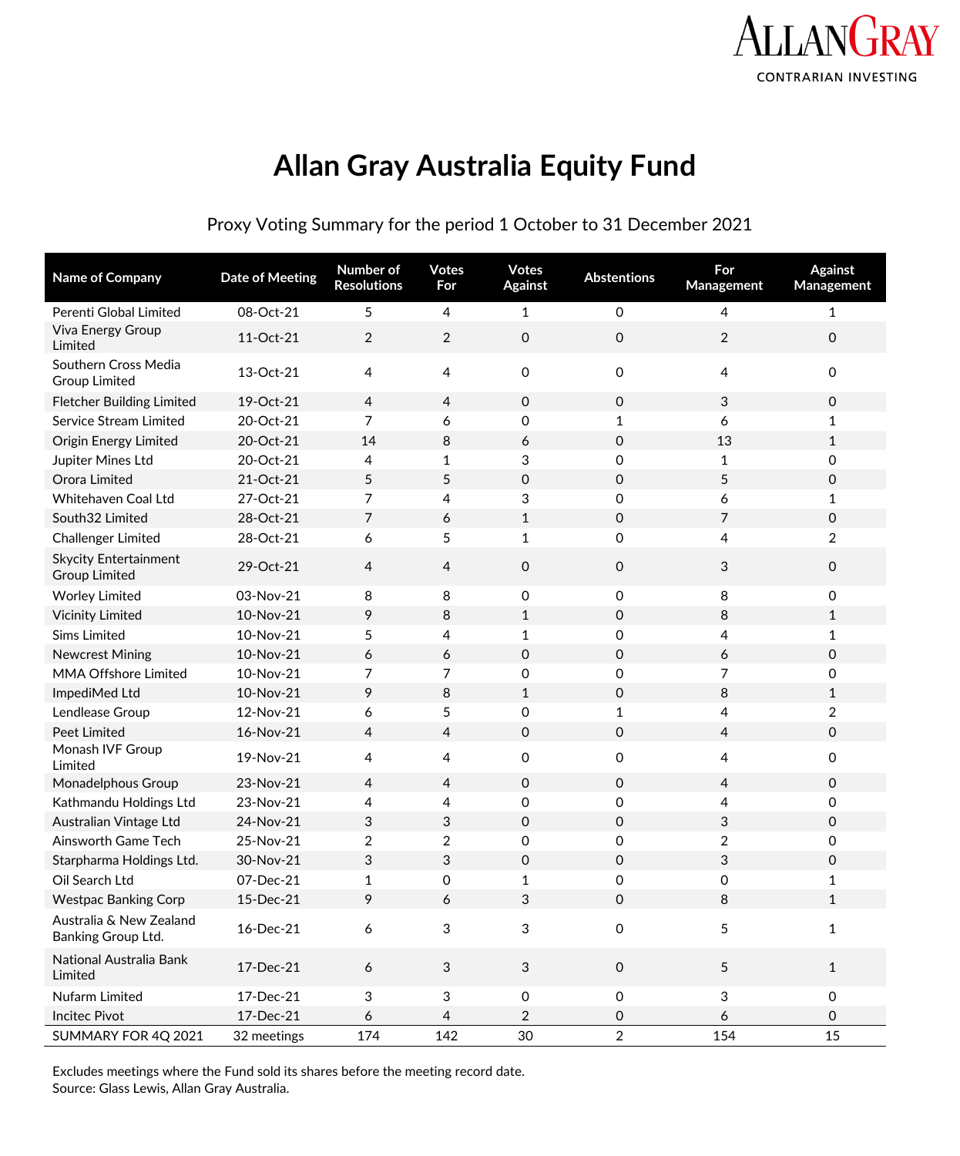

# **Allan Gray Australia Equity Fund**

Proxy Voting Summary for the period 1 October to 31 December 2021

| Name of Company                                      | <b>Date of Meeting</b> | Number of<br><b>Resolutions</b> | <b>Votes</b><br>For | <b>Votes</b><br><b>Against</b> | <b>Abstentions</b>  | For<br>Management | <b>Against</b><br>Management |
|------------------------------------------------------|------------------------|---------------------------------|---------------------|--------------------------------|---------------------|-------------------|------------------------------|
| Perenti Global Limited                               | 08-Oct-21              | 5                               | 4                   | $\mathbf{1}$                   | $\mathbf 0$         | 4                 | $\mathbf{1}$                 |
| Viva Energy Group<br>Limited                         | 11-Oct-21              | 2                               | $\overline{2}$      | $\mathbf 0$                    | $\mathbf 0$         | $\overline{2}$    | $\mathbf 0$                  |
| Southern Cross Media<br><b>Group Limited</b>         | 13-Oct-21              | 4                               | 4                   | 0                              | $\mathbf 0$         | 4                 | 0                            |
| <b>Fletcher Building Limited</b>                     | 19-Oct-21              | $\overline{4}$                  | 4                   | $\mathbf 0$                    | $\mathbf 0$         | 3                 | 0                            |
| <b>Service Stream Limited</b>                        | 20-Oct-21              | 7                               | 6                   | 0                              | $\mathbf{1}$        | 6                 | $\mathbf{1}$                 |
| <b>Origin Energy Limited</b>                         | 20-Oct-21              | 14                              | 8                   | 6                              | $\mathbf 0$         | 13                | $\mathbf{1}$                 |
| Jupiter Mines Ltd                                    | 20-Oct-21              | 4                               | $\mathbf{1}$        | 3                              | $\mathbf 0$         | $\mathbf{1}$      | $\mathbf 0$                  |
| Orora Limited                                        | 21-Oct-21              | 5                               | 5                   | 0                              | $\mathbf 0$         | 5                 | 0                            |
| Whitehaven Coal Ltd                                  | 27-Oct-21              | 7                               | 4                   | 3                              | 0                   | 6                 | 1                            |
| South32 Limited                                      | 28-Oct-21              | 7                               | 6                   | $\mathbf{1}$                   | $\mathbf 0$         | 7                 | 0                            |
| Challenger Limited                                   | 28-Oct-21              | 6                               | 5                   | $\mathbf{1}$                   | 0                   | 4                 | 2                            |
| <b>Skycity Entertainment</b><br><b>Group Limited</b> | 29-Oct-21              | 4                               | 4                   | 0                              | $\mathsf O$         | 3                 | $\mathsf{O}$                 |
| <b>Worley Limited</b>                                | 03-Nov-21              | 8                               | 8                   | 0                              | 0                   | 8                 | 0                            |
| <b>Vicinity Limited</b>                              | 10-Nov-21              | 9                               | 8                   | $\mathbf{1}$                   | $\mathbf{0}$        | 8                 | $\mathbf{1}$                 |
| <b>Sims Limited</b>                                  | 10-Nov-21              | 5                               | 4                   | 1                              | 0                   | 4                 | 1                            |
| <b>Newcrest Mining</b>                               | 10-Nov-21              | 6                               | 6                   | $\mathbf 0$                    | $\mathbf 0$         | 6                 | 0                            |
| <b>MMA Offshore Limited</b>                          | 10-Nov-21              | 7                               | 7                   | 0                              | 0                   | 7                 | 0                            |
| ImpediMed Ltd                                        | 10-Nov-21              | 9                               | 8                   | $\mathbf{1}$                   | $\mathbf 0$         | 8                 | 1                            |
| Lendlease Group                                      | 12-Nov-21              | 6                               | 5                   | 0                              | 1                   | 4                 | $\overline{2}$               |
| <b>Peet Limited</b>                                  | 16-Nov-21              | 4                               | $\overline{4}$      | $\mathbf 0$                    | $\mathbf 0$         | $\overline{4}$    | $\mathbf 0$                  |
| Monash IVF Group<br>Limited                          | 19-Nov-21              | 4                               | 4                   | 0                              | 0                   | 4                 | 0                            |
| Monadelphous Group                                   | 23-Nov-21              | $\overline{4}$                  | 4                   | $\mathbf 0$                    | $\mathbf 0$         | 4                 | $\mathbf 0$                  |
| Kathmandu Holdings Ltd                               | 23-Nov-21              | 4                               | 4                   | 0                              | 0                   | 4                 | 0                            |
| Australian Vintage Ltd                               | 24-Nov-21              | 3                               | 3                   | $\mathbf 0$                    | $\mathbf 0$         | 3                 | 0                            |
| Ainsworth Game Tech                                  | 25-Nov-21              | $\overline{2}$                  | 2                   | 0                              | 0                   | 2                 | 0                            |
| Starpharma Holdings Ltd.                             | 30-Nov-21              | 3                               | 3                   | 0                              | $\mathbf 0$         | 3                 | 0                            |
| Oil Search Ltd                                       | 07-Dec-21              | 1                               | 0                   | 1                              | 0                   | 0                 | 1                            |
| <b>Westpac Banking Corp</b>                          | 15-Dec-21              | 9                               | 6                   | 3                              | 0                   | 8                 | $\mathbf{1}$                 |
| Australia & New Zealand<br>Banking Group Ltd.        | 16-Dec-21              | 6                               | 3                   | 3                              | $\mathbf 0$         | 5                 | $\mathbf{1}$                 |
| National Australia Bank<br>Limited                   | 17-Dec-21              | $\boldsymbol{6}$                | 3                   | $\mathbf{3}$                   | $\mathsf O$         | $5\phantom{.0}$   | $\mathbf{1}$                 |
| Nufarm Limited                                       | 17-Dec-21              | $\ensuremath{\mathsf{3}}$       | 3                   | 0                              | $\mathsf{O}\xspace$ | 3                 | $\mathsf{O}\xspace$          |
| <b>Incitec Pivot</b>                                 | 17-Dec-21              | 6                               | 4                   | $\overline{\mathbf{c}}$        | 0                   | 6                 | 0                            |
| SUMMARY FOR 4Q 2021                                  | 32 meetings            | 174                             | 142                 | 30                             | $\overline{a}$      | 154               | 15                           |

Excludes meetings where the Fund sold its shares before the meeting record date. Source: Glass Lewis, Allan Gray Australia.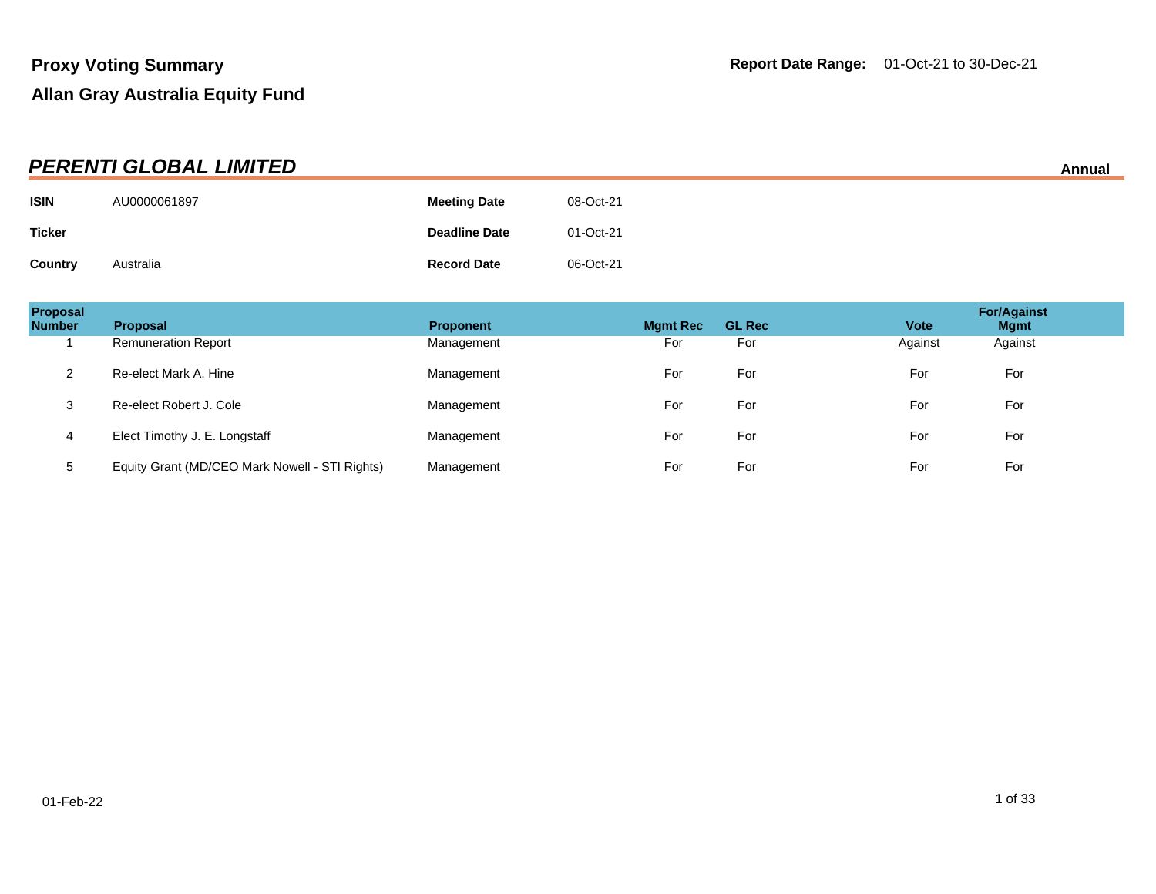|                | <b>PERENTI GLOBAL LIMITED</b> |                      |           | Annual |
|----------------|-------------------------------|----------------------|-----------|--------|
| <b>ISIN</b>    | AU0000061897                  | <b>Meeting Date</b>  | 08-Oct-21 |        |
| <b>Ticker</b>  |                               | <b>Deadline Date</b> | 01-Oct-21 |        |
| <b>Country</b> | Australia                     | <b>Record Date</b>   | 06-Oct-21 |        |

| Proposal<br><b>Number</b> | <b>Proposal</b>                                | <b>Proponent</b> | <b>Mgmt Rec</b> | <b>GL Rec</b> | <b>Vote</b> | <b>For/Against</b><br><b>Mgmt</b> |
|---------------------------|------------------------------------------------|------------------|-----------------|---------------|-------------|-----------------------------------|
|                           | <b>Remuneration Report</b>                     | Management       | For             | For           | Against     | Against                           |
| 2                         | Re-elect Mark A. Hine                          | Management       | For             | For           | For         | For                               |
| 3                         | Re-elect Robert J. Cole                        | Management       | For             | For           | For         | For                               |
| 4                         | Elect Timothy J. E. Longstaff                  | Management       | For             | For           | For         | For                               |
| 5                         | Equity Grant (MD/CEO Mark Nowell - STI Rights) | Management       | For             | For           | For         | For                               |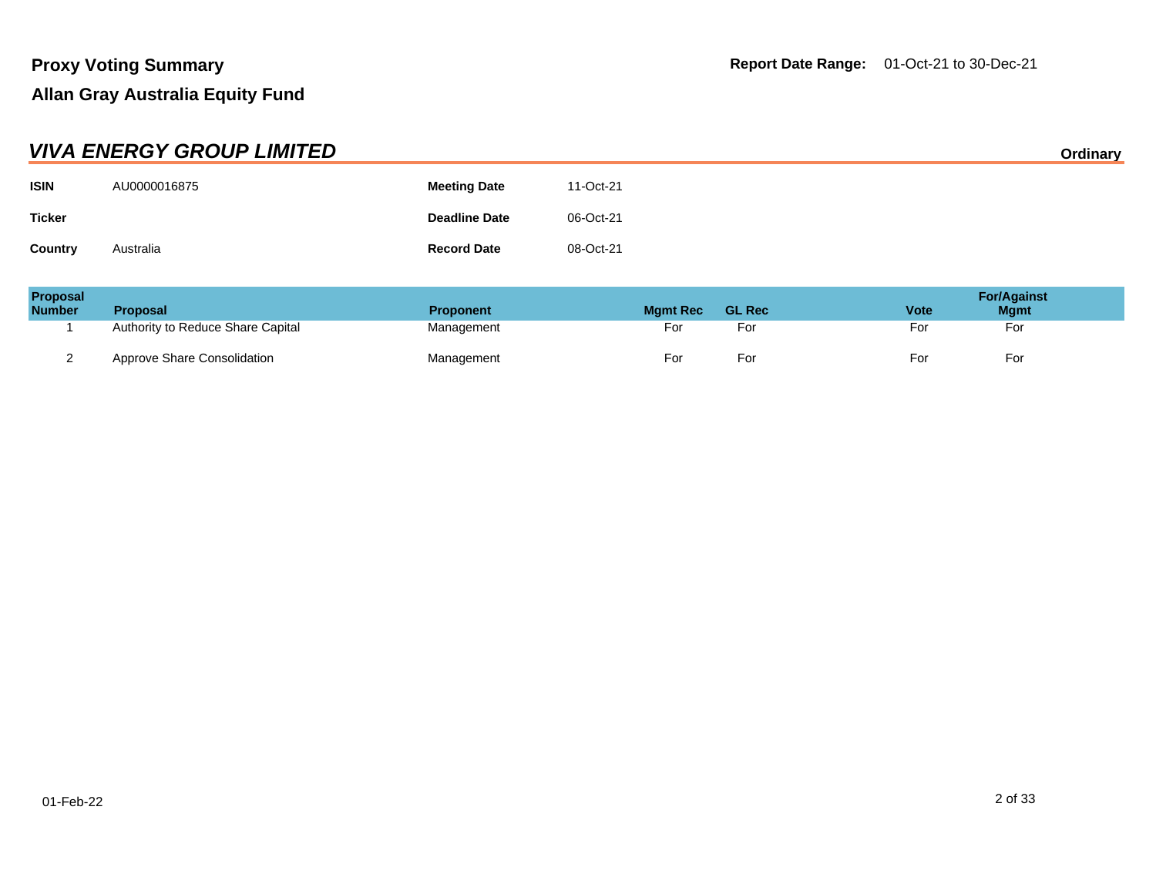|               | <b>VIVA ENERGY GROUP LIMITED</b> |                      |           | Ordinary |
|---------------|----------------------------------|----------------------|-----------|----------|
| <b>ISIN</b>   | AU0000016875                     | <b>Meeting Date</b>  | 11-Oct-21 |          |
| <b>Ticker</b> |                                  | <b>Deadline Date</b> | 06-Oct-21 |          |
| Country       | Australia                        | <b>Record Date</b>   | 08-Oct-21 |          |

| <b>Proposal</b><br><b>Number</b> | <b>Proposal</b>                   | <b>Proponent</b> | <b>Mamt Rec</b> | <b>GL Rec</b> | <b>Vote</b> | <b>For/Against</b><br><b>Mgmt</b> |
|----------------------------------|-----------------------------------|------------------|-----------------|---------------|-------------|-----------------------------------|
|                                  | Authority to Reduce Share Capital | Management       | For             | For           | For         | For                               |
| _                                | Approve Share Consolidation       | Management       | For             | For           | For         | For                               |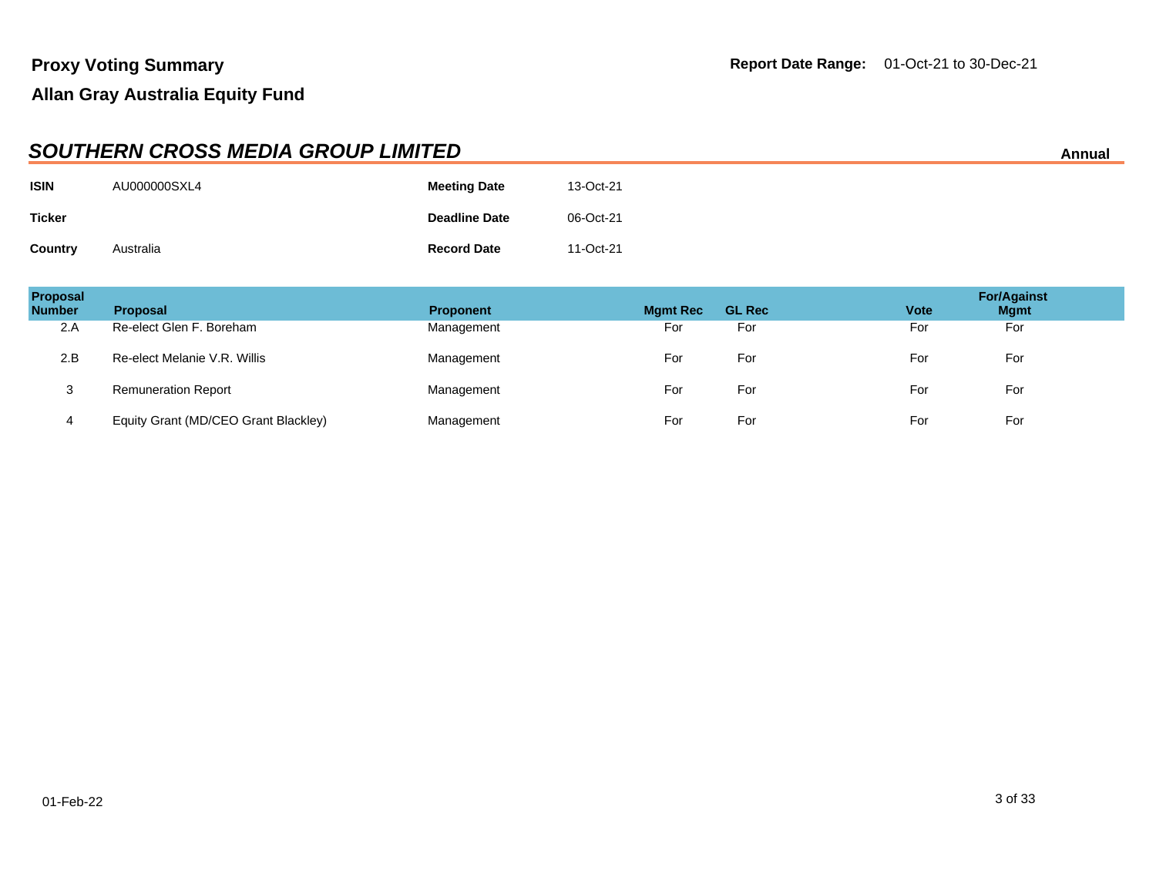|               | <b>SOUTHERN CROSS MEDIA GROUP LIMITED</b><br>Annual |                      |           |  |  |  |
|---------------|-----------------------------------------------------|----------------------|-----------|--|--|--|
| <b>ISIN</b>   | AU000000SXL4                                        | <b>Meeting Date</b>  | 13-Oct-21 |  |  |  |
| <b>Ticker</b> |                                                     | <b>Deadline Date</b> | 06-Oct-21 |  |  |  |
| Country       | Australia                                           | <b>Record Date</b>   | 11-Oct-21 |  |  |  |

| <b>Proposal</b><br><b>Number</b> | <b>Proposal</b>                      | <b>Proponent</b> | <b>Mgmt Rec</b> | <b>GL Rec</b> | <b>Vote</b> | <b>For/Against</b><br><b>Mgmt</b> |
|----------------------------------|--------------------------------------|------------------|-----------------|---------------|-------------|-----------------------------------|
| 2.A                              | Re-elect Glen F. Boreham             | Management       | For             | For           | For         | For                               |
| 2.B                              | Re-elect Melanie V.R. Willis         | Management       | For             | For           | For         | For                               |
| 3                                | <b>Remuneration Report</b>           | Management       | For             | For           | For         | For                               |
| 4                                | Equity Grant (MD/CEO Grant Blackley) | Management       | For             | For           | For         | For                               |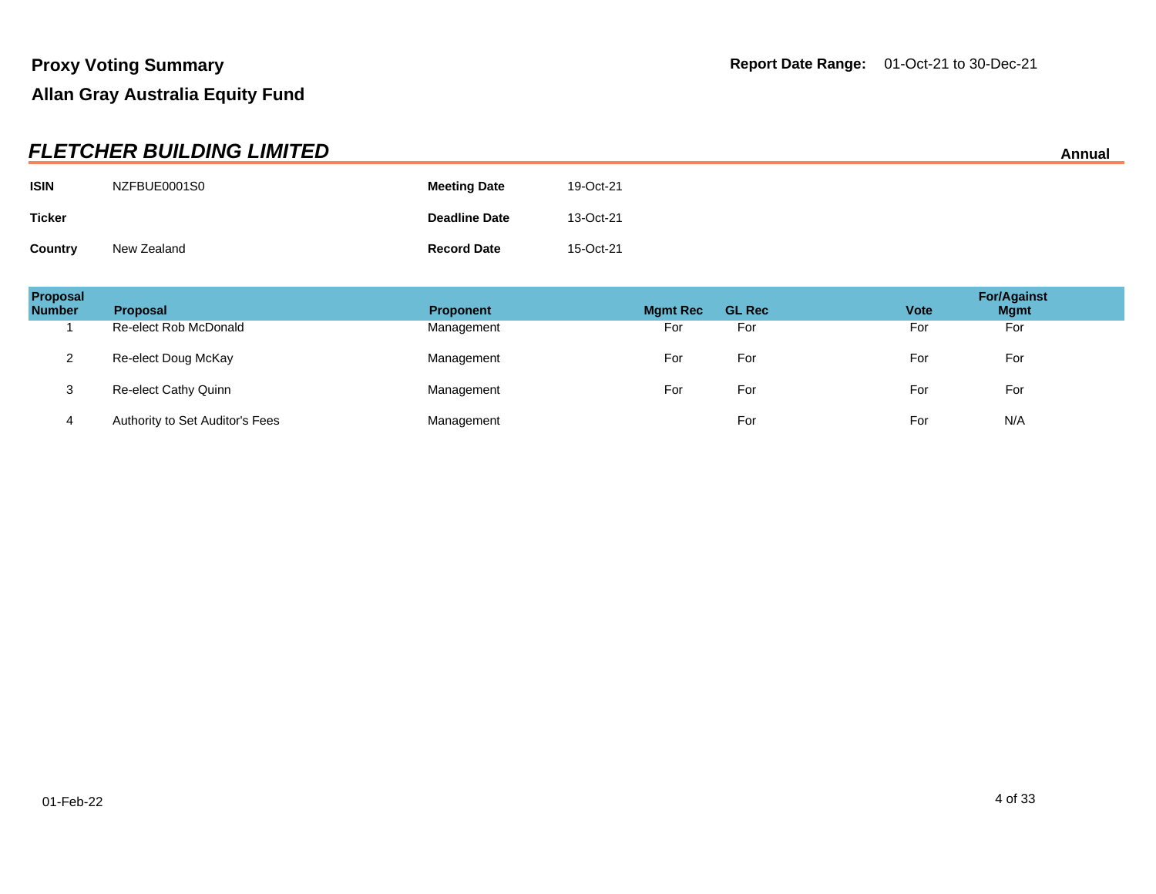|               | <b>FLETCHER BUILDING LIMITED</b> |                      |           | Annual |
|---------------|----------------------------------|----------------------|-----------|--------|
| <b>ISIN</b>   | NZFBUE0001S0                     | <b>Meeting Date</b>  | 19-Oct-21 |        |
| <b>Ticker</b> |                                  | <b>Deadline Date</b> | 13-Oct-21 |        |
| Country       | New Zealand                      | <b>Record Date</b>   | 15-Oct-21 |        |

| Proposal<br><b>Number</b> | <b>Proposal</b>                 | <b>Proponent</b> | <b>Mgmt Rec</b> | <b>GL Rec</b> | <b>Vote</b> | <b>For/Against</b><br><b>Mgmt</b> |
|---------------------------|---------------------------------|------------------|-----------------|---------------|-------------|-----------------------------------|
|                           | Re-elect Rob McDonald           | Management       | For             | For           | For         | For                               |
|                           | Re-elect Doug McKay             | Management       | For             | For           | For         | For                               |
| 3                         | Re-elect Cathy Quinn            | Management       | For             | For           | For         | For                               |
| 4                         | Authority to Set Auditor's Fees | Management       |                 | For           | For         | N/A                               |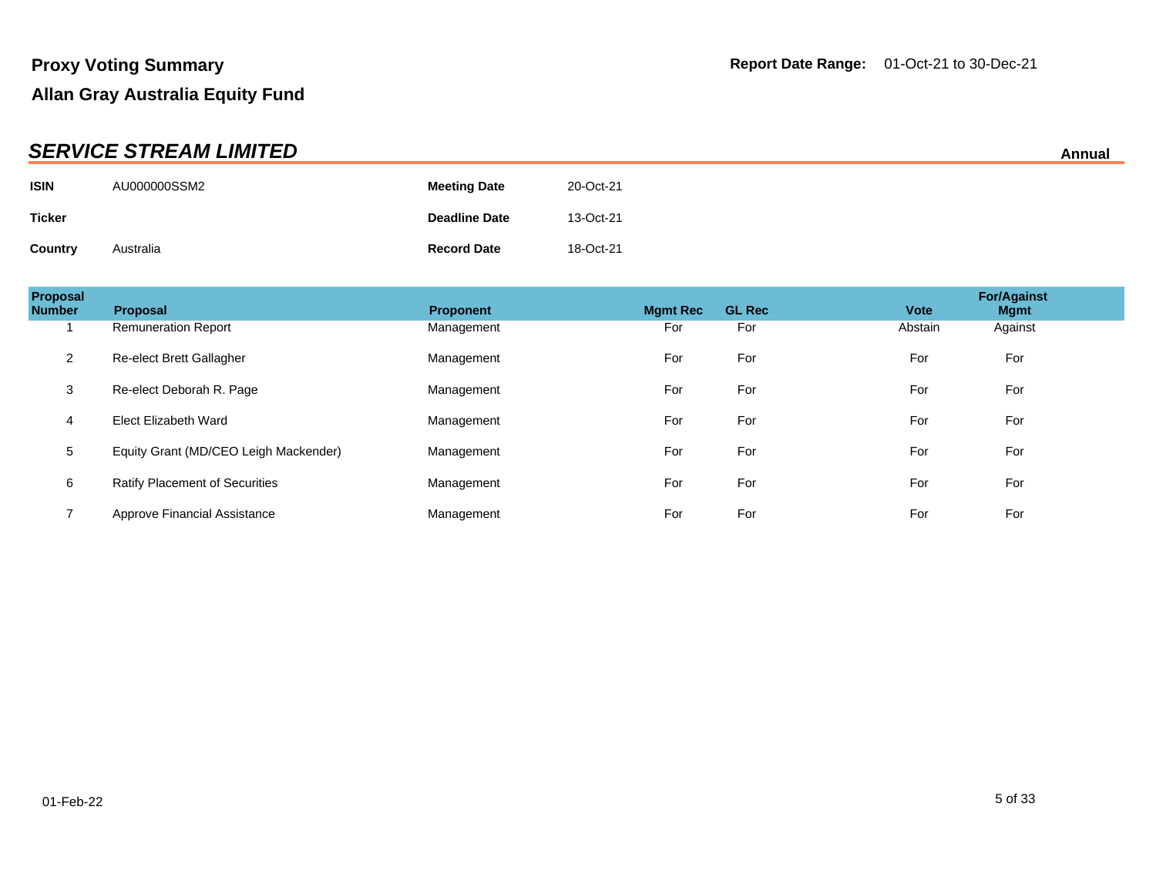|               | <b>SERVICE STREAM LIMITED</b> |                      |           | Annual |
|---------------|-------------------------------|----------------------|-----------|--------|
| <b>ISIN</b>   | AU000000SSM2                  | <b>Meeting Date</b>  | 20-Oct-21 |        |
| <b>Ticker</b> |                               | <b>Deadline Date</b> | 13-Oct-21 |        |
| Country       | Australia                     | <b>Record Date</b>   | 18-Oct-21 |        |

| Proposal<br><b>Number</b> | <b>Proposal</b>                       | <b>Proponent</b> | <b>Mamt Rec</b> | <b>GL Rec</b> | <b>For/Against</b><br><b>Vote</b><br><b>Mgmt</b> |  |
|---------------------------|---------------------------------------|------------------|-----------------|---------------|--------------------------------------------------|--|
|                           | <b>Remuneration Report</b>            | Management       | For             | For           | Abstain<br>Against                               |  |
| 2                         | Re-elect Brett Gallagher              | Management       | For             | For           | For<br>For                                       |  |
| 3                         | Re-elect Deborah R. Page              | Management       | For             | For           | For<br>For                                       |  |
| 4                         | Elect Elizabeth Ward                  | Management       | For             | For           | For<br>For                                       |  |
| 5                         | Equity Grant (MD/CEO Leigh Mackender) | Management       | For             | For           | For<br>For                                       |  |
| 6                         | <b>Ratify Placement of Securities</b> | Management       | For             | For           | For<br>For                                       |  |
|                           | Approve Financial Assistance          | Management       | For             | For           | For<br>For                                       |  |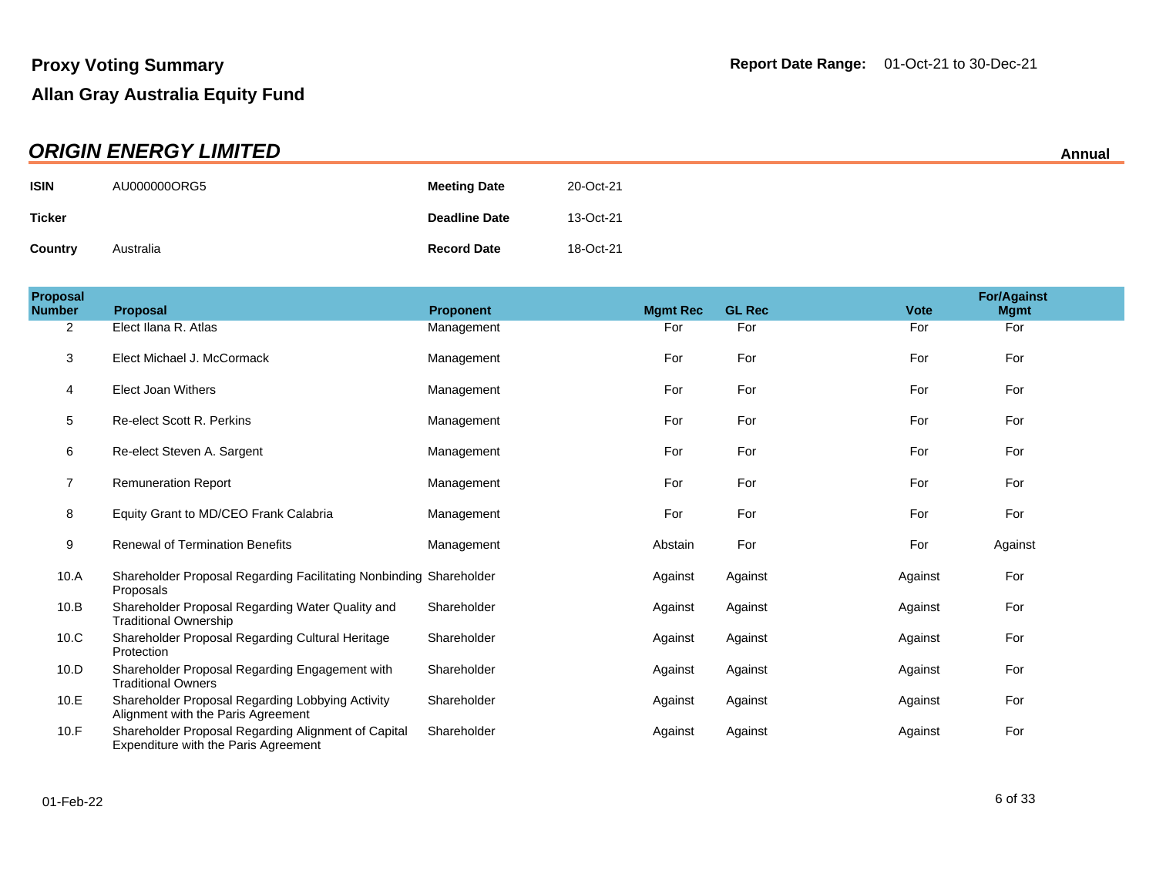| <b>ORIGIN ENERGY LIMITED</b> |              |                      |           |  |  |
|------------------------------|--------------|----------------------|-----------|--|--|
| <b>ISIN</b>                  | AU000000ORG5 | <b>Meeting Date</b>  | 20-Oct-21 |  |  |
| Ticker                       |              | <b>Deadline Date</b> | 13-Oct-21 |  |  |
| <b>Country</b>               | Australia    | <b>Record Date</b>   | 18-Oct-21 |  |  |

| Proposal<br><b>Number</b> | <b>Proposal</b>                                                                             | <b>Proponent</b> | <b>Mgmt Rec</b> | <b>GL Rec</b> | <b>Vote</b> | <b>For/Against</b><br><b>Mgmt</b> |
|---------------------------|---------------------------------------------------------------------------------------------|------------------|-----------------|---------------|-------------|-----------------------------------|
| 2                         | Elect Ilana R. Atlas                                                                        | Management       | For             | For           | For         | For                               |
| 3                         | Elect Michael J. McCormack                                                                  | Management       | For             | For           | For         | For                               |
| 4                         | Elect Joan Withers                                                                          | Management       | For             | For           | For         | For                               |
| 5                         | Re-elect Scott R. Perkins                                                                   | Management       | For             | For           | For         | For                               |
| 6                         | Re-elect Steven A. Sargent                                                                  | Management       | For             | For           | For         | For                               |
| $\overline{7}$            | <b>Remuneration Report</b>                                                                  | Management       | For             | For           | For         | For                               |
| 8                         | Equity Grant to MD/CEO Frank Calabria                                                       | Management       | For             | For           | For         | For                               |
| 9                         | <b>Renewal of Termination Benefits</b>                                                      | Management       | Abstain         | For           | For         | Against                           |
| 10.A                      | Shareholder Proposal Regarding Facilitating Nonbinding Shareholder<br>Proposals             |                  | Against         | Against       | Against     | For                               |
| 10.B                      | Shareholder Proposal Regarding Water Quality and<br><b>Traditional Ownership</b>            | Shareholder      | Against         | Against       | Against     | For                               |
| 10.C                      | Shareholder Proposal Regarding Cultural Heritage<br>Protection                              | Shareholder      | Against         | Against       | Against     | For                               |
| 10.D                      | Shareholder Proposal Regarding Engagement with<br><b>Traditional Owners</b>                 | Shareholder      | Against         | Against       | Against     | For                               |
| 10.E                      | Shareholder Proposal Regarding Lobbying Activity<br>Alignment with the Paris Agreement      | Shareholder      | Against         | Against       | Against     | For                               |
| 10.F                      | Shareholder Proposal Regarding Alignment of Capital<br>Expenditure with the Paris Agreement | Shareholder      | Against         | Against       | Against     | For                               |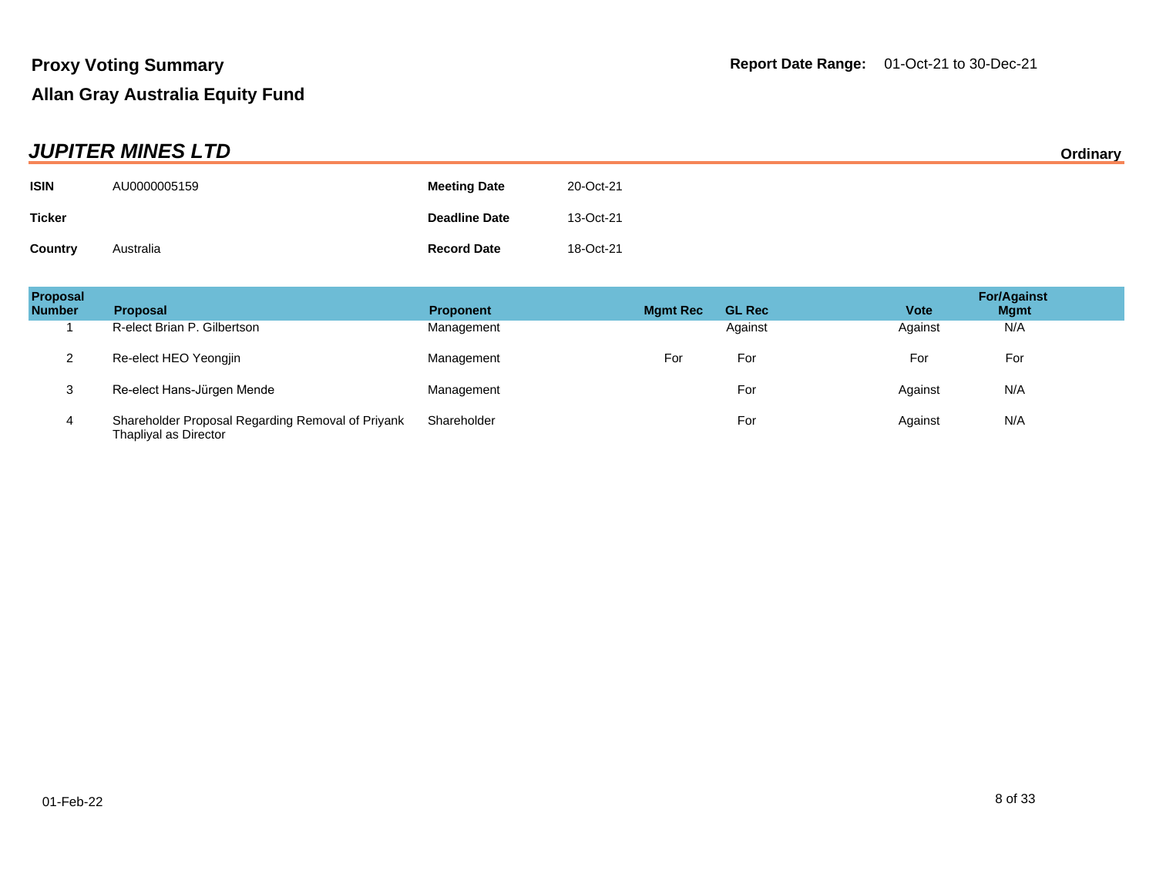| <b>JUPITER MINES LTD</b> |              |                      |           | Ordinary |
|--------------------------|--------------|----------------------|-----------|----------|
| <b>ISIN</b>              | AU0000005159 | <b>Meeting Date</b>  | 20-Oct-21 |          |
| <b>Ticker</b>            |              | <b>Deadline Date</b> | 13-Oct-21 |          |
| Country                  | Australia    | <b>Record Date</b>   | 18-Oct-21 |          |

| <b>Proposal</b><br><b>Number</b> | <b>Proposal</b>                                                            | <b>Proponent</b> | <b>Mgmt Rec</b> | <b>GL Rec</b> | <b>Vote</b> | <b>For/Against</b><br><b>Mgmt</b> |
|----------------------------------|----------------------------------------------------------------------------|------------------|-----------------|---------------|-------------|-----------------------------------|
|                                  | R-elect Brian P. Gilbertson                                                | Management       |                 | Against       | Against     | N/A                               |
| っ                                | Re-elect HEO Yeongjin                                                      | Management       | For             | For           | For         | For                               |
| 3                                | Re-elect Hans-Jürgen Mende                                                 | Management       |                 | For           | Against     | N/A                               |
| 4                                | Shareholder Proposal Regarding Removal of Priyank<br>Thapliyal as Director | Shareholder      |                 | For           | Against     | N/A                               |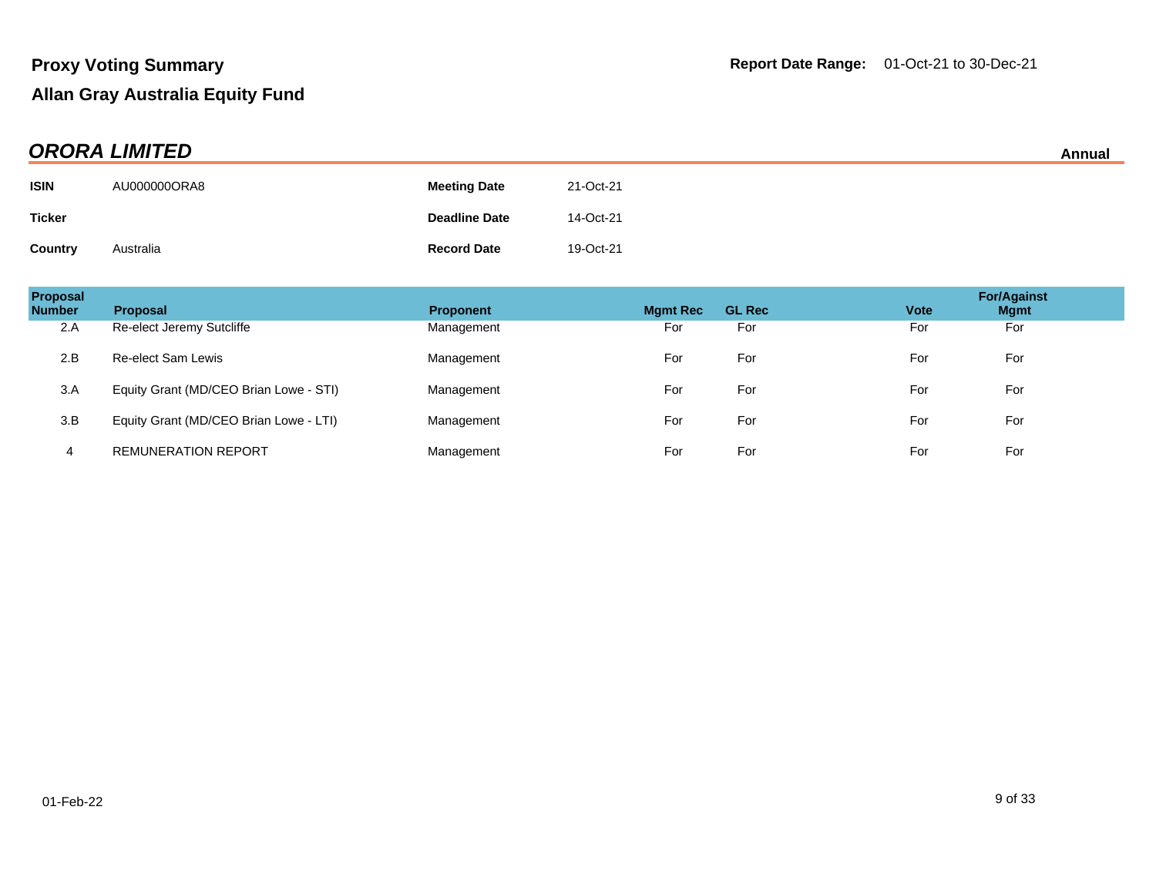| <b>ORORA LIMITED</b> |              |                      |           |  |
|----------------------|--------------|----------------------|-----------|--|
| <b>ISIN</b>          | AU000000ORA8 | <b>Meeting Date</b>  | 21-Oct-21 |  |
| Ticker               |              | <b>Deadline Date</b> | 14-Oct-21 |  |
| <b>Country</b>       | Australia    | <b>Record Date</b>   | 19-Oct-21 |  |

| Proposal<br><b>Number</b> | <b>Proposal</b>                        | <b>Proponent</b> | <b>Mgmt Rec</b> | <b>GL Rec</b> | <b>Vote</b> | <b>For/Against</b><br><b>Mgmt</b> |
|---------------------------|----------------------------------------|------------------|-----------------|---------------|-------------|-----------------------------------|
| 2.A                       | Re-elect Jeremy Sutcliffe              | Management       | For             | For           | For         | For                               |
| 2.B                       | <b>Re-elect Sam Lewis</b>              | Management       | For             | For           | For         | For                               |
| 3.A                       | Equity Grant (MD/CEO Brian Lowe - STI) | Management       | For             | For           | For         | For                               |
| 3.B                       | Equity Grant (MD/CEO Brian Lowe - LTI) | Management       | For             | For           | For         | For                               |
| 4                         | <b>REMUNERATION REPORT</b>             | Management       | For             | For           | For         | For                               |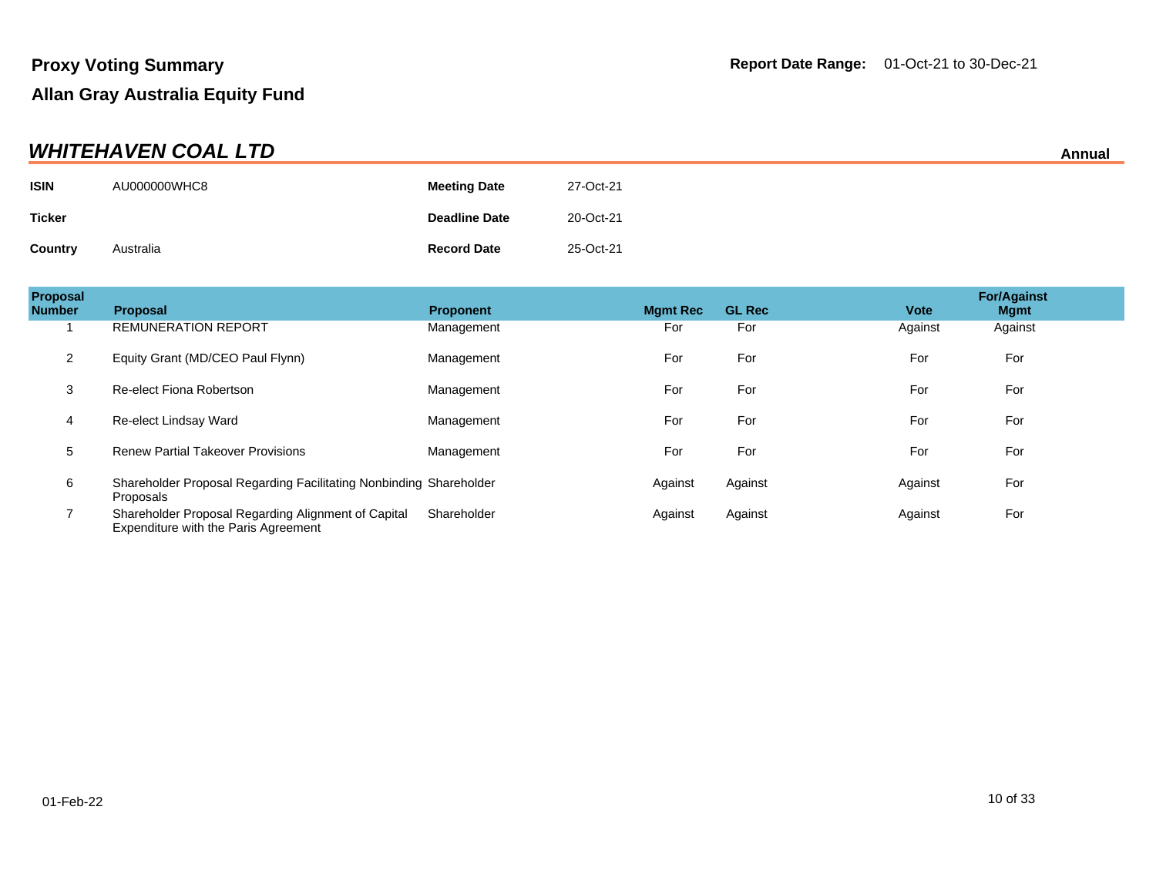| <b>WHITEHAVEN COAL LTD</b><br>Annual |              |                      |           |  |
|--------------------------------------|--------------|----------------------|-----------|--|
| <b>ISIN</b>                          | AU000000WHC8 | <b>Meeting Date</b>  | 27-Oct-21 |  |
| <b>Ticker</b>                        |              | <b>Deadline Date</b> | 20-Oct-21 |  |
| Country                              | Australia    | <b>Record Date</b>   | 25-Oct-21 |  |

| Proposal<br><b>Number</b> | <b>Proposal</b>                                                                             | <b>Proponent</b> | <b>Mgmt Rec</b> | <b>GL Rec</b> | <b>Vote</b> | <b>For/Against</b><br><b>Mgmt</b> |
|---------------------------|---------------------------------------------------------------------------------------------|------------------|-----------------|---------------|-------------|-----------------------------------|
|                           | <b>REMUNERATION REPORT</b>                                                                  | Management       | For             | For           | Against     | Against                           |
| 2                         | Equity Grant (MD/CEO Paul Flynn)                                                            | Management       | For             | For           | For         | For                               |
| 3                         | Re-elect Fiona Robertson                                                                    | Management       | For             | For           | For         | For                               |
| 4                         | Re-elect Lindsay Ward                                                                       | Management       | For             | For           | For         | For                               |
| 5                         | <b>Renew Partial Takeover Provisions</b>                                                    | Management       | For             | For           | For         | For                               |
| 6                         | Shareholder Proposal Regarding Facilitating Nonbinding Shareholder<br>Proposals             |                  | Against         | Against       | Against     | For                               |
| ⇁                         | Shareholder Proposal Regarding Alignment of Capital<br>Expenditure with the Paris Agreement | Shareholder      | Against         | Against       | Against     | For                               |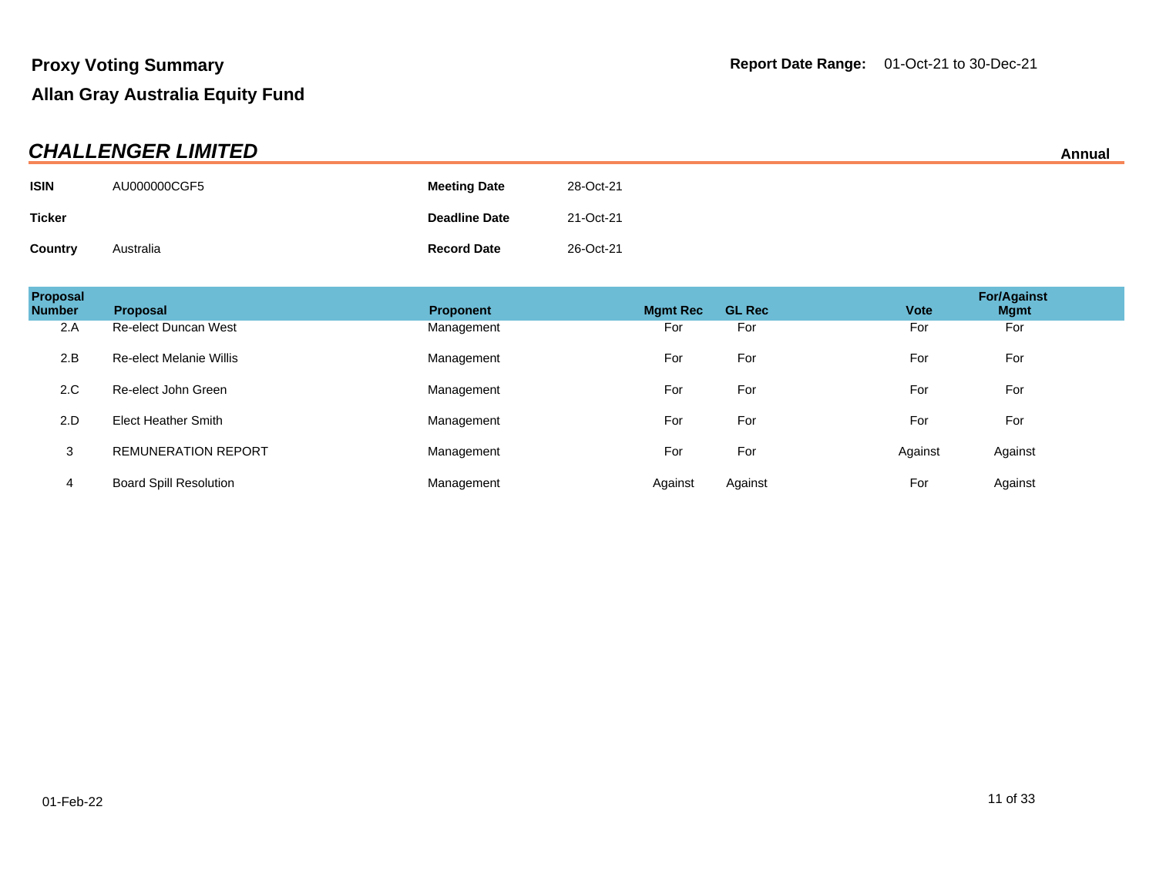| <b>CHALLENGER LIMITED</b> |              |                      |           |  |
|---------------------------|--------------|----------------------|-----------|--|
| <b>ISIN</b>               | AU000000CGF5 | <b>Meeting Date</b>  | 28-Oct-21 |  |
| Ticker                    |              | <b>Deadline Date</b> | 21-Oct-21 |  |
| <b>Country</b>            | Australia    | <b>Record Date</b>   | 26-Oct-21 |  |

| Proposal<br><b>Number</b> | <b>Proposal</b>                | <b>Proponent</b> | <b>Mamt Rec</b> | <b>GL Rec</b> | <b>Vote</b> | <b>For/Against</b><br><b>Mgmt</b> |
|---------------------------|--------------------------------|------------------|-----------------|---------------|-------------|-----------------------------------|
| 2.A                       | <b>Re-elect Duncan West</b>    | Management       | For             | For           | For         | For                               |
| 2.B                       | <b>Re-elect Melanie Willis</b> | Management       | For             | For           | For         | For                               |
| 2.C                       | Re-elect John Green            | Management       | For             | For           | For         | For                               |
| 2.D                       | <b>Elect Heather Smith</b>     | Management       | For             | For           | For         | For                               |
| 3                         | <b>REMUNERATION REPORT</b>     | Management       | For             | For           | Against     | Against                           |
| 4                         | <b>Board Spill Resolution</b>  | Management       | Against         | Against       | For         | Against                           |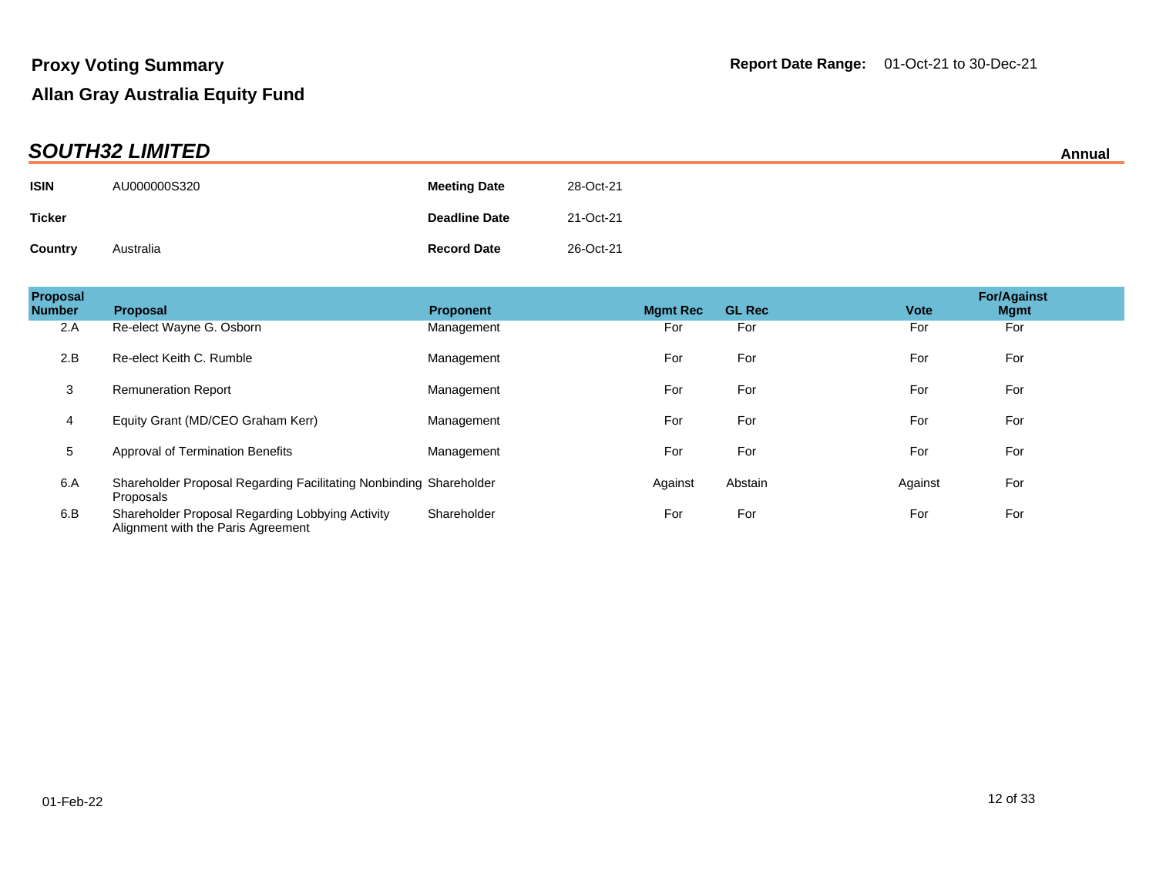|               | _ _ _ _ _ _ _ _ _ _ _ _ _ _ _ _ |                      |           | <i>r</i> uuwu |
|---------------|---------------------------------|----------------------|-----------|---------------|
| <b>ISIN</b>   | AU000000S320                    | <b>Meeting Date</b>  | 28-Oct-21 |               |
| <b>Ticker</b> |                                 | <b>Deadline Date</b> | 21-Oct-21 |               |
| Country       | Australia                       | <b>Record Date</b>   | 26-Oct-21 |               |

| Proposal<br><b>Number</b> | <b>Proposal</b>                                                                        | <b>Proponent</b> | <b>Mamt Rec</b> | <b>GL Rec</b> | <b>Vote</b> | <b>For/Against</b><br><b>Mgmt</b> |
|---------------------------|----------------------------------------------------------------------------------------|------------------|-----------------|---------------|-------------|-----------------------------------|
| 2.A                       | Re-elect Wayne G. Osborn                                                               | Management       | For             | For           | For         | For                               |
| 2.B                       | Re-elect Keith C. Rumble                                                               | Management       | For             | For           | For         | For                               |
| 3                         | <b>Remuneration Report</b>                                                             | Management       | For             | For           | For         | For                               |
| 4                         | Equity Grant (MD/CEO Graham Kerr)                                                      | Management       | For             | For           | For         | For                               |
| 5                         | <b>Approval of Termination Benefits</b>                                                | Management       | For             | For           | For         | For                               |
| 6.A                       | Shareholder Proposal Regarding Facilitating Nonbinding Shareholder<br>Proposals        |                  | Against         | Abstain       | Against     | For                               |
| 6.B                       | Shareholder Proposal Regarding Lobbying Activity<br>Alignment with the Paris Agreement | Shareholder      | For             | For           | For         | For                               |

**SOUTH32 LIMITED Annual**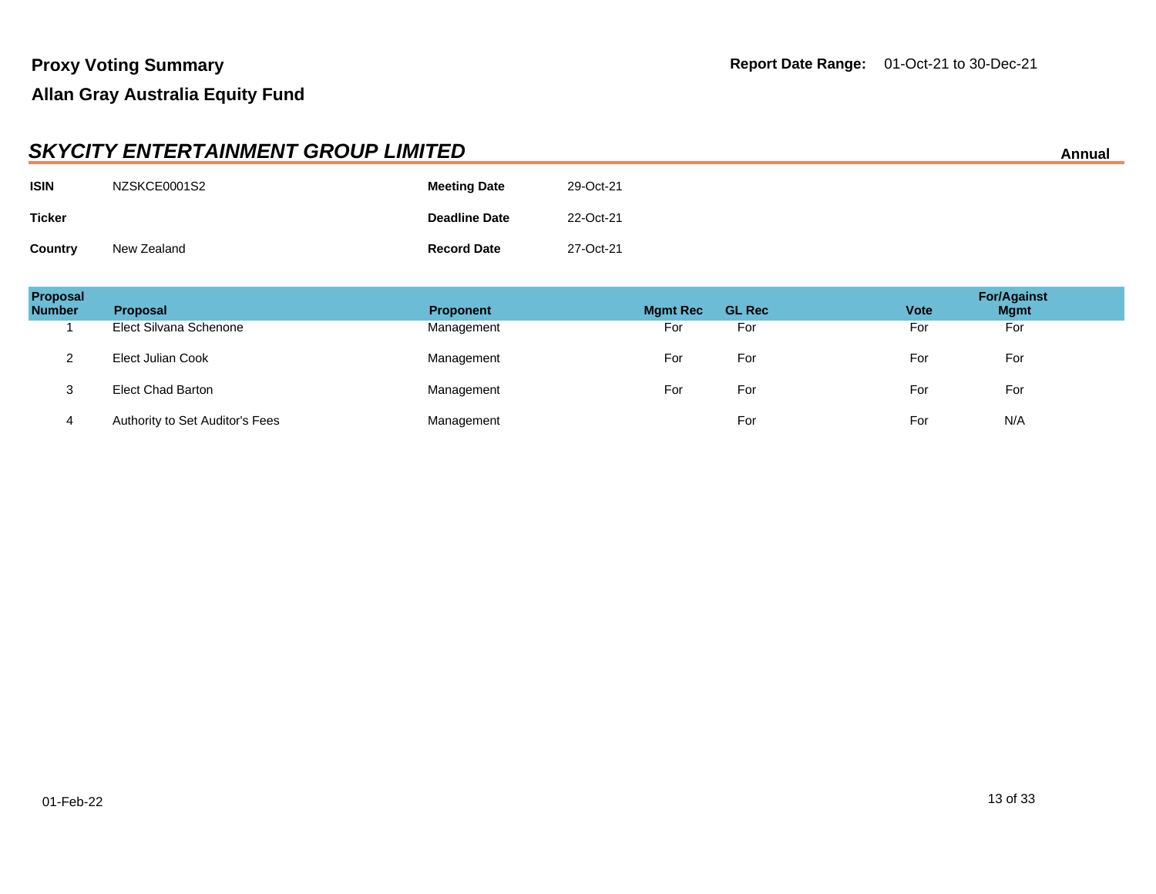|               | <b>SKYCITY ENTERTAINMENT GROUP LIMITED</b><br>Annual |                      |           |  |  |  |
|---------------|------------------------------------------------------|----------------------|-----------|--|--|--|
| <b>ISIN</b>   | NZSKCE0001S2                                         | <b>Meeting Date</b>  | 29-Oct-21 |  |  |  |
| <b>Ticker</b> |                                                      | <b>Deadline Date</b> | 22-Oct-21 |  |  |  |
| Country       | New Zealand                                          | <b>Record Date</b>   | 27-Oct-21 |  |  |  |

| Proposal<br><b>Number</b> | <b>Proposal</b>                 | <b>Proponent</b> | <b>Mgmt Rec</b> | <b>GL Rec</b> | <b>Vote</b> | <b>For/Against</b><br><b>Mgmt</b> |
|---------------------------|---------------------------------|------------------|-----------------|---------------|-------------|-----------------------------------|
|                           | Elect Silvana Schenone          | Management       | For             | For           | For         | For                               |
| ◠<br>_                    | Elect Julian Cook               | Management       | For             | For           | For         | For                               |
| <u>ົ</u><br>ত             | <b>Elect Chad Barton</b>        | Management       | For             | For           | For         | For                               |
| 4                         | Authority to Set Auditor's Fees | Management       |                 | For           | For         | N/A                               |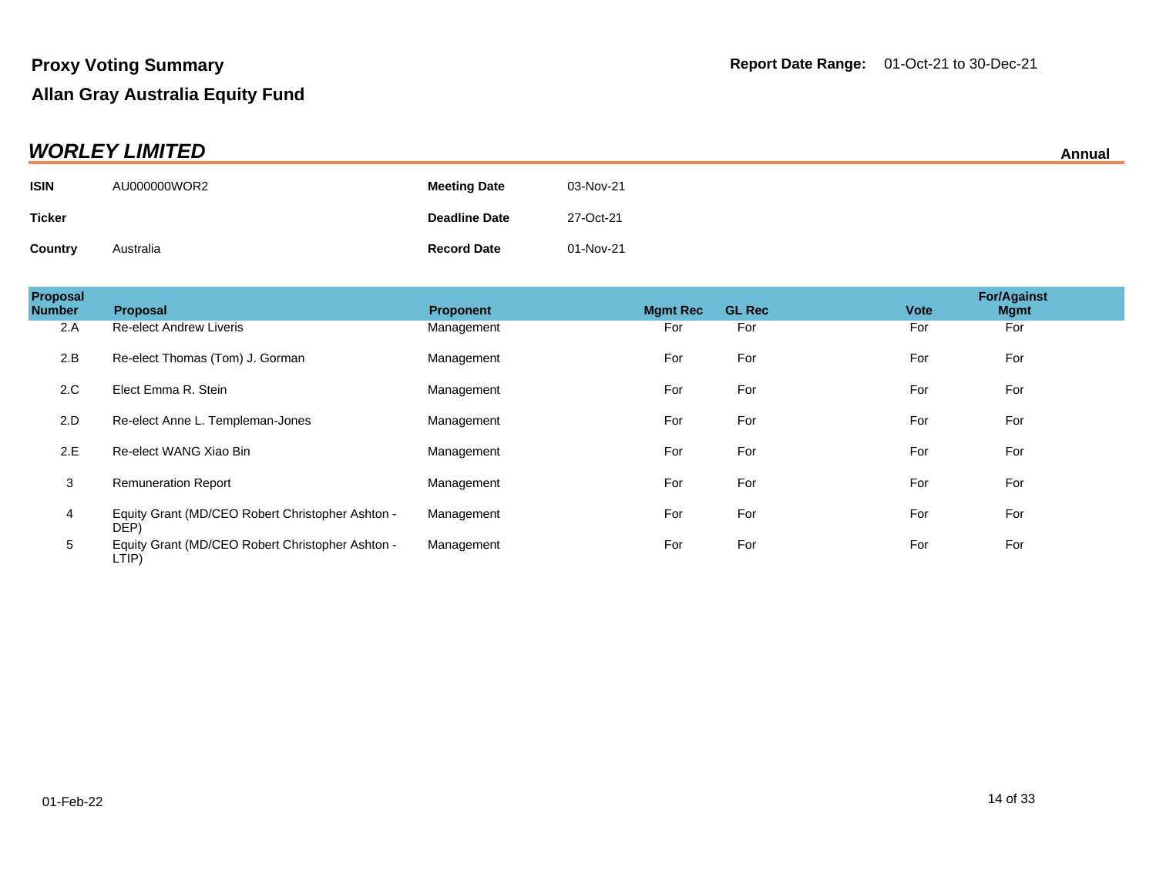| <b>WORLEY LIMITED</b> |              |                      |           |  |
|-----------------------|--------------|----------------------|-----------|--|
| <b>ISIN</b>           | AU000000WOR2 | <b>Meeting Date</b>  | 03-Nov-21 |  |
| <b>Ticker</b>         |              | <b>Deadline Date</b> | 27-Oct-21 |  |
| Country               | Australia    | <b>Record Date</b>   | 01-Nov-21 |  |

| Proposal<br><b>Number</b> | Proposal                                                  | <b>Proponent</b> | <b>Mgmt Rec</b> | <b>GL Rec</b> | <b>Vote</b> | <b>For/Against</b><br><b>Mgmt</b> |
|---------------------------|-----------------------------------------------------------|------------------|-----------------|---------------|-------------|-----------------------------------|
| 2.A                       | <b>Re-elect Andrew Liveris</b>                            | Management       | For             | For           | For         | For                               |
| 2.B                       | Re-elect Thomas (Tom) J. Gorman                           | Management       | For             | For           | For         | For                               |
| 2.C                       | Elect Emma R. Stein                                       | Management       | For             | For           | For         | For                               |
| 2.D                       | Re-elect Anne L. Templeman-Jones                          | Management       | For             | For           | For         | For                               |
| 2.E                       | Re-elect WANG Xiao Bin                                    | Management       | For             | For           | For         | For                               |
| 3                         | <b>Remuneration Report</b>                                | Management       | For             | For           | For         | For                               |
| 4                         | Equity Grant (MD/CEO Robert Christopher Ashton -<br>DEP)  | Management       | For             | For           | For         | For                               |
| 5                         | Equity Grant (MD/CEO Robert Christopher Ashton -<br>LTIP) | Management       | For             | For           | For         | For                               |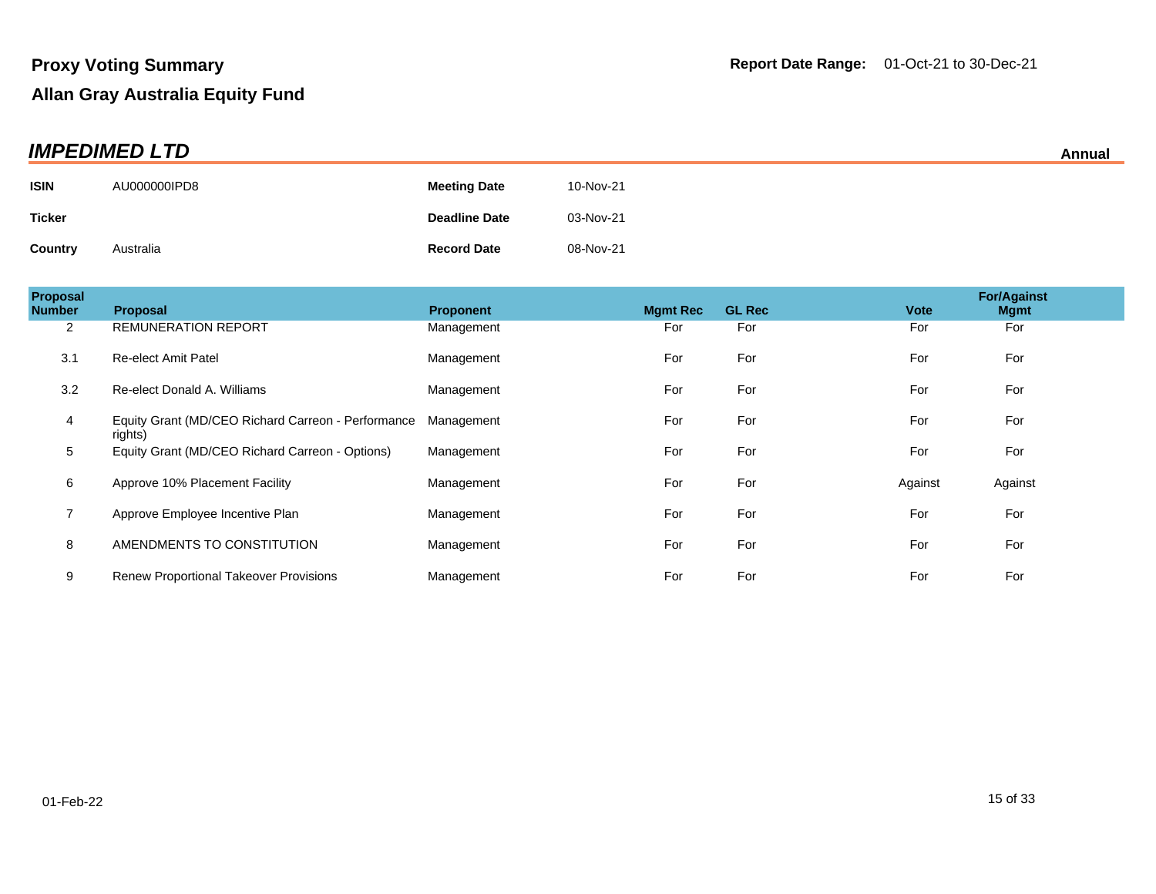| <b>IMPEDIMED LTD</b> |              |                      |           |  |
|----------------------|--------------|----------------------|-----------|--|
| <b>ISIN</b>          | AU000000IPD8 | <b>Meeting Date</b>  | 10-Nov-21 |  |
| <b>Ticker</b>        |              | <b>Deadline Date</b> | 03-Nov-21 |  |
| <b>Country</b>       | Australia    | <b>Record Date</b>   | 08-Nov-21 |  |

| Proposal<br><b>Number</b> | <b>Proposal</b>                                               | <b>Proponent</b> | <b>Mamt Rec</b> | <b>GL Rec</b> | <b>Vote</b> | <b>For/Against</b><br><b>Mgmt</b> |
|---------------------------|---------------------------------------------------------------|------------------|-----------------|---------------|-------------|-----------------------------------|
| 2                         | <b>REMUNERATION REPORT</b>                                    | Management       | For             | For           | For         | For                               |
| 3.1                       | <b>Re-elect Amit Patel</b>                                    | Management       | For             | For           | For         | For                               |
| 3.2                       | Re-elect Donald A. Williams                                   | Management       | For             | For           | For         | For                               |
| 4                         | Equity Grant (MD/CEO Richard Carreon - Performance<br>rights) | Management       | For             | For           | For         | For                               |
| 5                         | Equity Grant (MD/CEO Richard Carreon - Options)               | Management       | For             | For           | For         | For                               |
| 6                         | Approve 10% Placement Facility                                | Management       | For             | For           | Against     | Against                           |
| $\overline{7}$            | Approve Employee Incentive Plan                               | Management       | For             | For           | For         | For                               |
| 8                         | AMENDMENTS TO CONSTITUTION                                    | Management       | For             | For           | For         | For                               |
| 9                         | <b>Renew Proportional Takeover Provisions</b>                 | Management       | For             | For           | For         | For                               |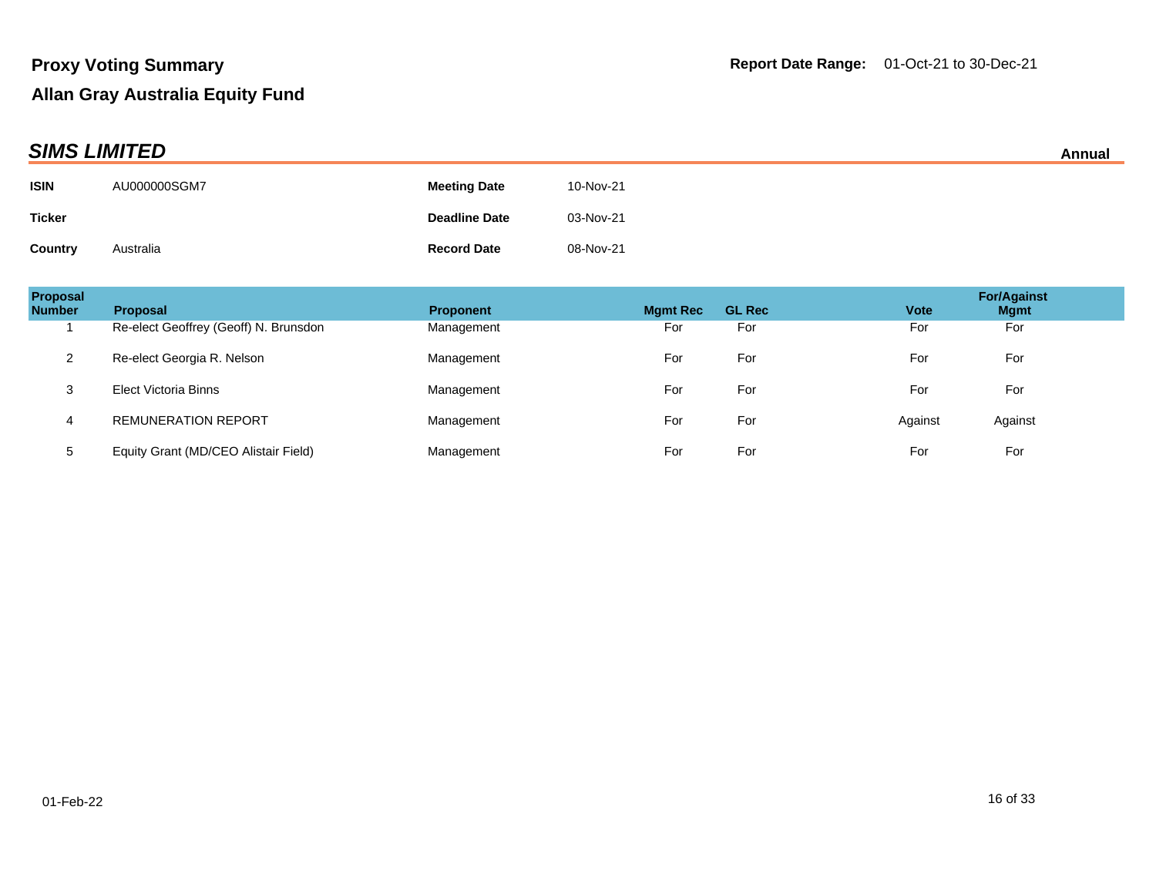| <b>SIMS LIMITED</b> |              |                      |           |  |
|---------------------|--------------|----------------------|-----------|--|
| <b>ISIN</b>         | AU000000SGM7 | <b>Meeting Date</b>  | 10-Nov-21 |  |
| <b>Ticker</b>       |              | <b>Deadline Date</b> | 03-Nov-21 |  |
| Country             | Australia    | <b>Record Date</b>   | 08-Nov-21 |  |

| <b>Proposal</b><br><b>Number</b> | <b>Proposal</b>                       | <b>Proponent</b> | <b>Mgmt Rec</b> | <b>GL Rec</b> | <b>Vote</b> | <b>For/Against</b><br><b>Mgmt</b> |
|----------------------------------|---------------------------------------|------------------|-----------------|---------------|-------------|-----------------------------------|
|                                  | Re-elect Geoffrey (Geoff) N. Brunsdon | Management       | For             | For           | For         | For                               |
| 2                                | Re-elect Georgia R. Nelson            | Management       | For             | For           | For         | For                               |
| 3                                | <b>Elect Victoria Binns</b>           | Management       | For             | For           | For         | For                               |
| 4                                | <b>REMUNERATION REPORT</b>            | Management       | For             | For           | Against     | Against                           |
| 5                                | Equity Grant (MD/CEO Alistair Field)  | Management       | For             | For           | For         | For                               |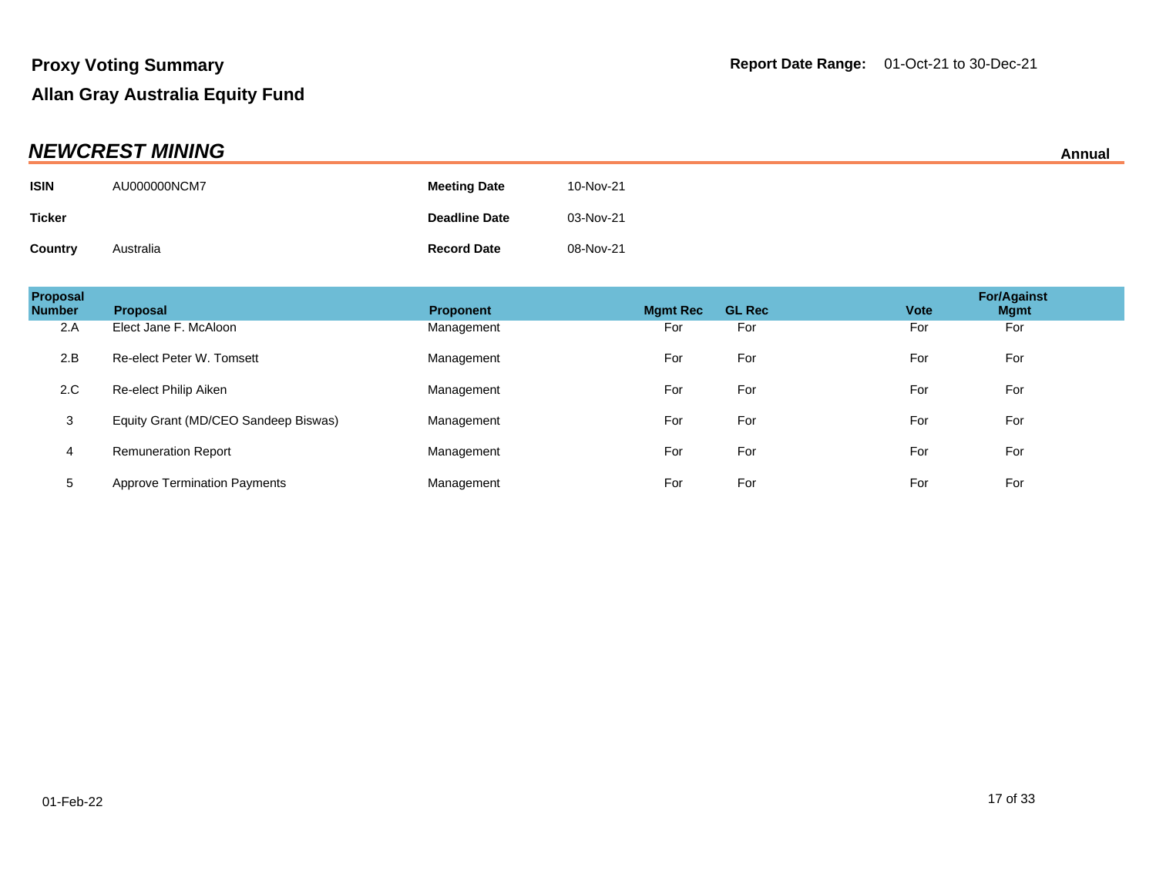| <b>NEWCREST MINING</b> |              |                      |           |  |
|------------------------|--------------|----------------------|-----------|--|
| <b>ISIN</b>            | AU000000NCM7 | <b>Meeting Date</b>  | 10-Nov-21 |  |
| <b>Ticker</b>          |              | <b>Deadline Date</b> | 03-Nov-21 |  |
| <b>Country</b>         | Australia    | <b>Record Date</b>   | 08-Nov-21 |  |

| Proposal<br><b>Number</b> | <b>Proposal</b>                      | <b>Proponent</b> | <b>Mamt Rec</b> | <b>GL Rec</b> | <b>Vote</b> | <b>For/Against</b><br><b>Mgmt</b> |
|---------------------------|--------------------------------------|------------------|-----------------|---------------|-------------|-----------------------------------|
| 2.A                       | Elect Jane F. McAloon                | Management       | For             | For           | For         | For                               |
| 2.B                       | Re-elect Peter W. Tomsett            | Management       | For             | For           | For         | For                               |
| 2.C                       | Re-elect Philip Aiken                | Management       | For             | For           | For         | For                               |
| 3                         | Equity Grant (MD/CEO Sandeep Biswas) | Management       | For             | For           | For         | For                               |
| 4                         | <b>Remuneration Report</b>           | Management       | For             | For           | For         | For                               |
| 5                         | <b>Approve Termination Payments</b>  | Management       | For             | For           | For         | For                               |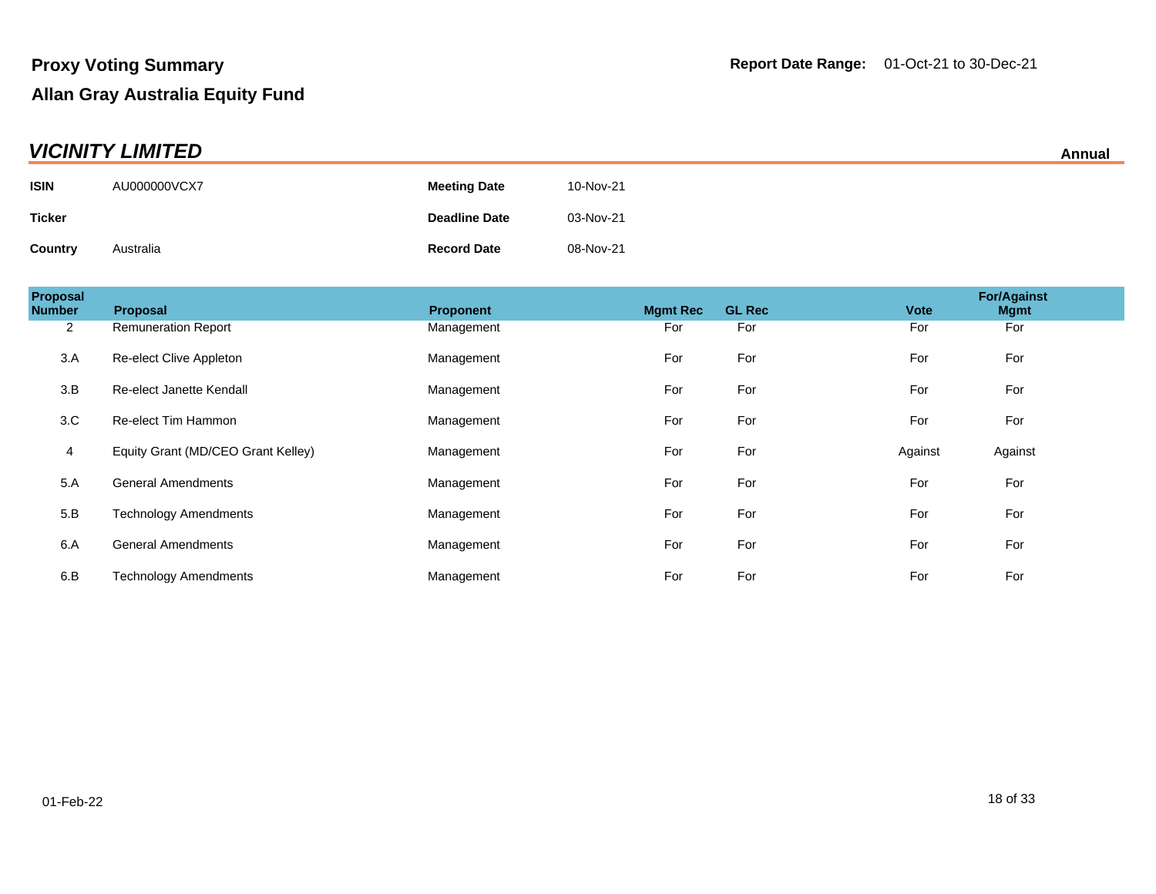| <b>VICINITY LIMITED</b> |              |                      |           |  |
|-------------------------|--------------|----------------------|-----------|--|
| <b>ISIN</b>             | AU000000VCX7 | <b>Meeting Date</b>  | 10-Nov-21 |  |
| <b>Ticker</b>           |              | <b>Deadline Date</b> | 03-Nov-21 |  |
| Country                 | Australia    | <b>Record Date</b>   | 08-Nov-21 |  |

| <b>Proposal</b><br><b>Number</b> | Proposal                           | <b>Proponent</b> | <b>Mamt Rec</b> | <b>GL Rec</b> | <b>Vote</b> | <b>For/Against</b><br><b>Mgmt</b> |
|----------------------------------|------------------------------------|------------------|-----------------|---------------|-------------|-----------------------------------|
| $\overline{2}$                   | <b>Remuneration Report</b>         | Management       | For             | For           | For         | For                               |
| 3.A                              | Re-elect Clive Appleton            | Management       | For             | For           | For         | For                               |
| 3.B                              | Re-elect Janette Kendall           | Management       | For             | For           | For         | For                               |
| 3.C                              | Re-elect Tim Hammon                | Management       | For             | For           | For         | For                               |
| 4                                | Equity Grant (MD/CEO Grant Kelley) | Management       | For             | For           | Against     | Against                           |
| 5.A                              | <b>General Amendments</b>          | Management       | For             | For           | For         | For                               |
| 5.B                              | <b>Technology Amendments</b>       | Management       | For             | For           | For         | For                               |
| 6.A                              | <b>General Amendments</b>          | Management       | For             | For           | For         | For                               |
| 6.B                              | <b>Technology Amendments</b>       | Management       | For             | For           | For         | For                               |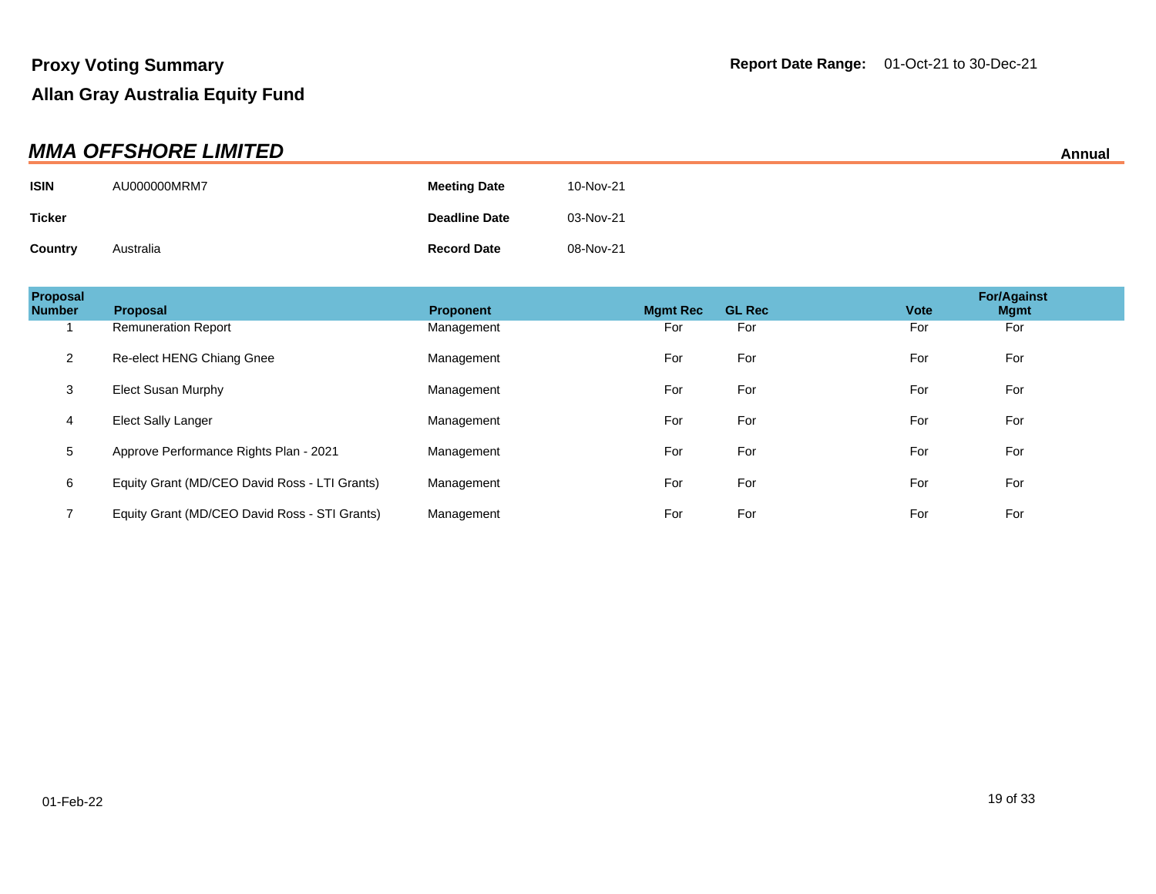| <b>MMA OFFSHORE LIMITED</b> |              |                      |           |  |
|-----------------------------|--------------|----------------------|-----------|--|
| <b>ISIN</b>                 | AU000000MRM7 | <b>Meeting Date</b>  | 10-Nov-21 |  |
| <b>Ticker</b>               |              | <b>Deadline Date</b> | 03-Nov-21 |  |
| Country                     | Australia    | <b>Record Date</b>   | 08-Nov-21 |  |

| Proposal<br><b>Number</b> | <b>Proposal</b>                               | <b>Proponent</b> | <b>Mamt Rec</b> | <b>GL Rec</b> | <b>Vote</b> | <b>For/Against</b><br><b>Mgmt</b> |  |
|---------------------------|-----------------------------------------------|------------------|-----------------|---------------|-------------|-----------------------------------|--|
|                           | <b>Remuneration Report</b>                    | Management       | For             | For           | For         | For                               |  |
| $\overline{2}$            | Re-elect HENG Chiang Gnee                     | Management       | For             | For           | For         | For                               |  |
| 3                         | Elect Susan Murphy                            | Management       | For             | For           | For         | For                               |  |
| 4                         | Elect Sally Langer                            | Management       | For             | For           | For         | For                               |  |
| 5                         | Approve Performance Rights Plan - 2021        | Management       | For             | For           | For         | For                               |  |
| 6                         | Equity Grant (MD/CEO David Ross - LTI Grants) | Management       | For             | For           | For         | For                               |  |
|                           | Equity Grant (MD/CEO David Ross - STI Grants) | Management       | For             | For           | For         | For                               |  |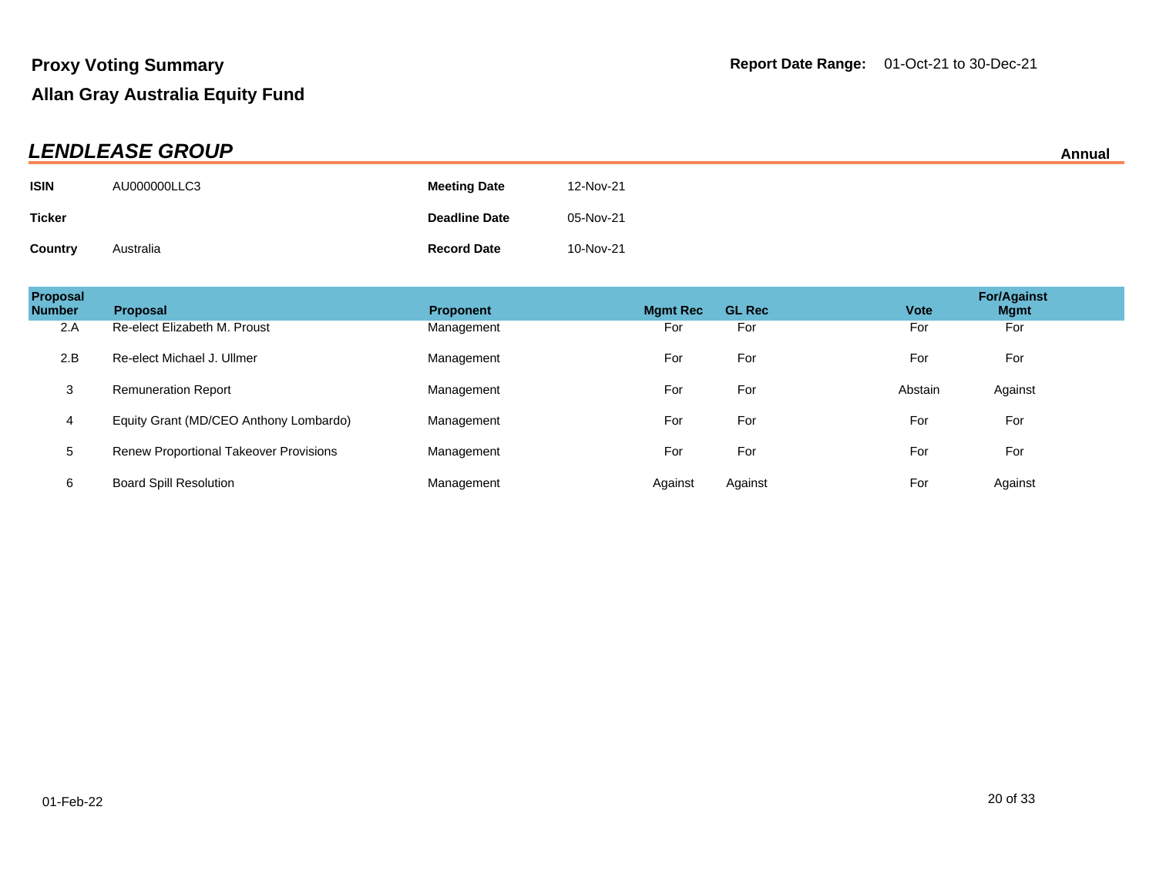| <b>LENDLEASE GROUP</b><br>Annual |              |                      |           |  |
|----------------------------------|--------------|----------------------|-----------|--|
| <b>ISIN</b>                      | AU000000LLC3 | <b>Meeting Date</b>  | 12-Nov-21 |  |
| Ticker                           |              | <b>Deadline Date</b> | 05-Nov-21 |  |
| Country                          | Australia    | <b>Record Date</b>   | 10-Nov-21 |  |

| Proposal<br><b>Number</b> | <b>Proposal</b>                               | <b>Proponent</b> | <b>Mamt Rec</b> | <b>GL Rec</b> | <b>Vote</b> | <b>For/Against</b><br><b>Mgmt</b> |
|---------------------------|-----------------------------------------------|------------------|-----------------|---------------|-------------|-----------------------------------|
| 2.A                       | Re-elect Elizabeth M. Proust                  | Management       | For             | For           | For         | For                               |
| 2.B                       | Re-elect Michael J. Ullmer                    | Management       | For             | For           | For         | For                               |
| 3                         | <b>Remuneration Report</b>                    | Management       | For             | For           | Abstain     | Against                           |
| $\overline{4}$            | Equity Grant (MD/CEO Anthony Lombardo)        | Management       | For             | For           | For         | For                               |
| 5                         | <b>Renew Proportional Takeover Provisions</b> | Management       | For             | For           | For         | For                               |
| 6                         | <b>Board Spill Resolution</b>                 | Management       | Against         | Against       | For         | Against                           |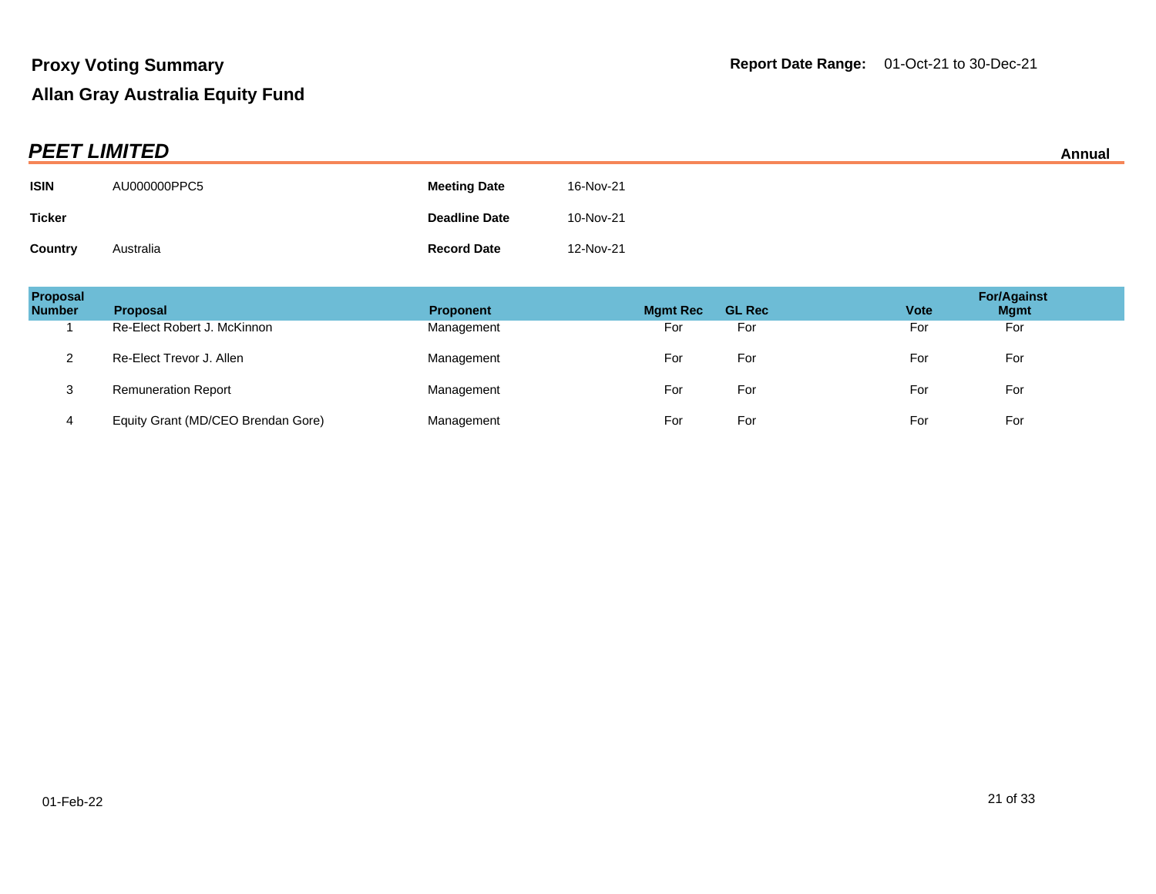|                | <b>PEET LIMITED</b> |                      |           |  |  |
|----------------|---------------------|----------------------|-----------|--|--|
| <b>ISIN</b>    | AU000000PPC5        | <b>Meeting Date</b>  | 16-Nov-21 |  |  |
| <b>Ticker</b>  |                     | <b>Deadline Date</b> | 10-Nov-21 |  |  |
| <b>Country</b> | Australia           | <b>Record Date</b>   | 12-Nov-21 |  |  |

| Proposal<br><b>Number</b> | <b>Proposal</b>                    | <b>Proponent</b> | <b>Mgmt Rec</b> | <b>GL Rec</b> | <b>Vote</b> | <b>For/Against</b><br><b>Mgmt</b> |
|---------------------------|------------------------------------|------------------|-----------------|---------------|-------------|-----------------------------------|
|                           | Re-Elect Robert J. McKinnon        | Management       | For             | For           | For         | For                               |
|                           | Re-Elect Trevor J. Allen           | Management       | For             | For           | For         | For                               |
| 3                         | <b>Remuneration Report</b>         | Management       | For             | For           | For         | For                               |
|                           | Equity Grant (MD/CEO Brendan Gore) | Management       | For             | For           | For         | For                               |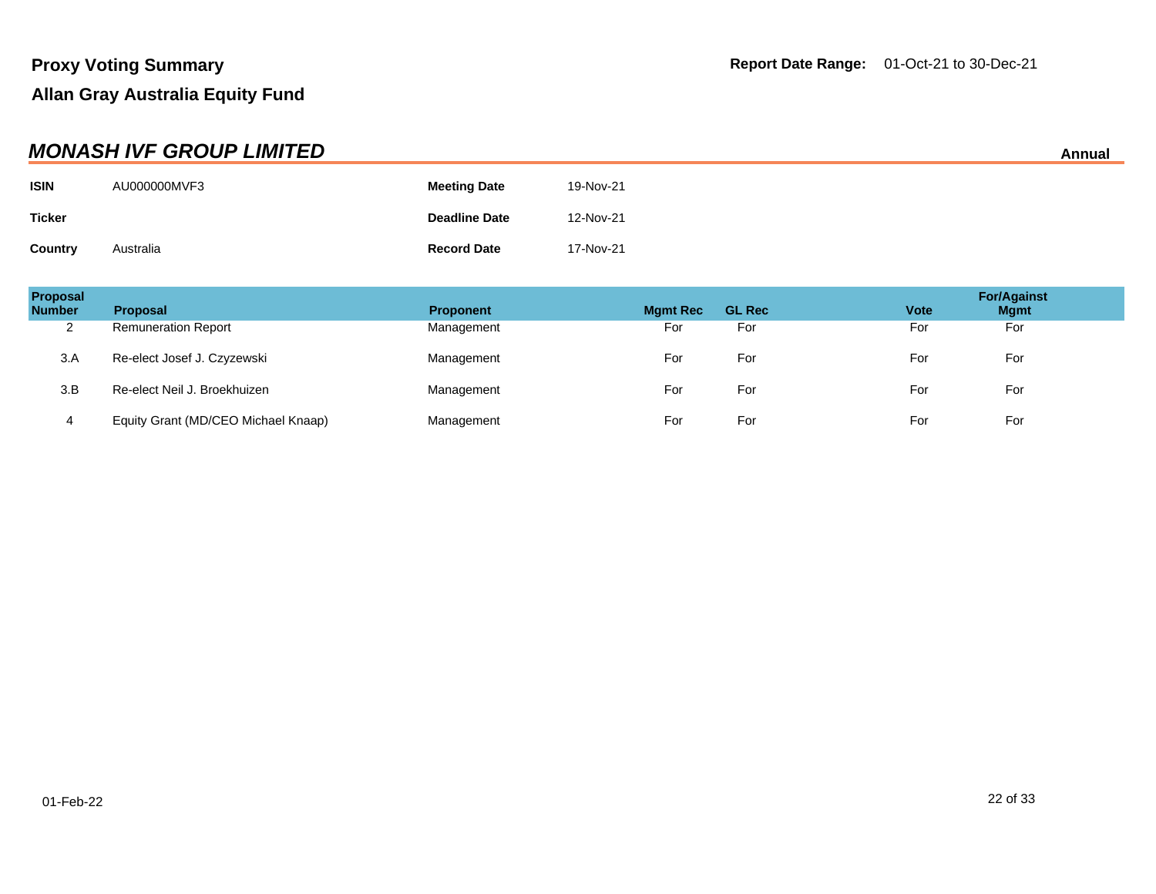| <b>MONASH IVF GROUP LIMITED</b> |              |                      |           |  |
|---------------------------------|--------------|----------------------|-----------|--|
| <b>ISIN</b>                     | AU000000MVF3 | <b>Meeting Date</b>  | 19-Nov-21 |  |
| <b>Ticker</b>                   |              | <b>Deadline Date</b> | 12-Nov-21 |  |
| <b>Country</b>                  | Australia    | <b>Record Date</b>   | 17-Nov-21 |  |

| Proposal<br><b>Number</b> | <b>Proposal</b>                     | <b>Proponent</b> | <b>Mgmt Rec</b> | <b>GL Rec</b> | <b>Vote</b> | <b>For/Against</b><br><b>Mgmt</b> |
|---------------------------|-------------------------------------|------------------|-----------------|---------------|-------------|-----------------------------------|
| $\sim$<br>∠               | <b>Remuneration Report</b>          | Management       | For             | For           | For         | For                               |
| 3.A                       | Re-elect Josef J. Czyzewski         | Management       | For             | For           | For         | For                               |
| 3.B                       | Re-elect Neil J. Broekhuizen        | Management       | For             | For           | For         | For                               |
| 4                         | Equity Grant (MD/CEO Michael Knaap) | Management       | For             | For           | For         | For                               |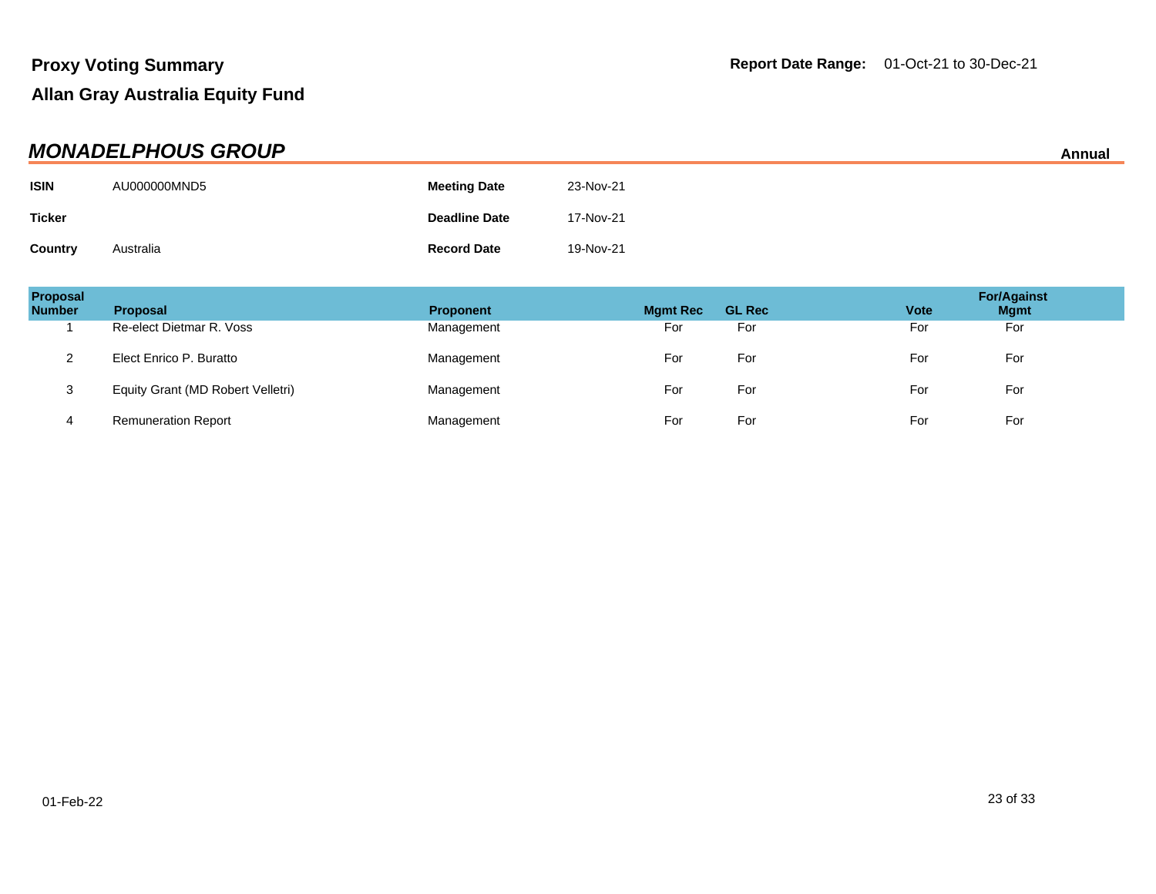| <b>MONADELPHOUS GROUP</b><br>Annual |              |                      |           |  |
|-------------------------------------|--------------|----------------------|-----------|--|
| <b>ISIN</b>                         | AU000000MND5 | <b>Meeting Date</b>  | 23-Nov-21 |  |
| <b>Ticker</b>                       |              | <b>Deadline Date</b> | 17-Nov-21 |  |
| Country                             | Australia    | <b>Record Date</b>   | 19-Nov-21 |  |

| Proposal<br><b>Number</b> | <b>Proposal</b>                   | <b>Proponent</b> | <b>Mgmt Rec</b> | <b>GL Rec</b> | <b>Vote</b> | <b>For/Against</b><br><b>Mgmt</b> |
|---------------------------|-----------------------------------|------------------|-----------------|---------------|-------------|-----------------------------------|
|                           | Re-elect Dietmar R. Voss          | Management       | For             | For           | For         | For                               |
| ົ<br>▵                    | Elect Enrico P. Buratto           | Management       | For             | For           | For         | For                               |
| 3                         | Equity Grant (MD Robert Velletri) | Management       | For             | For           | For         | For                               |
| 4                         | <b>Remuneration Report</b>        | Management       | For             | For           | For         | For                               |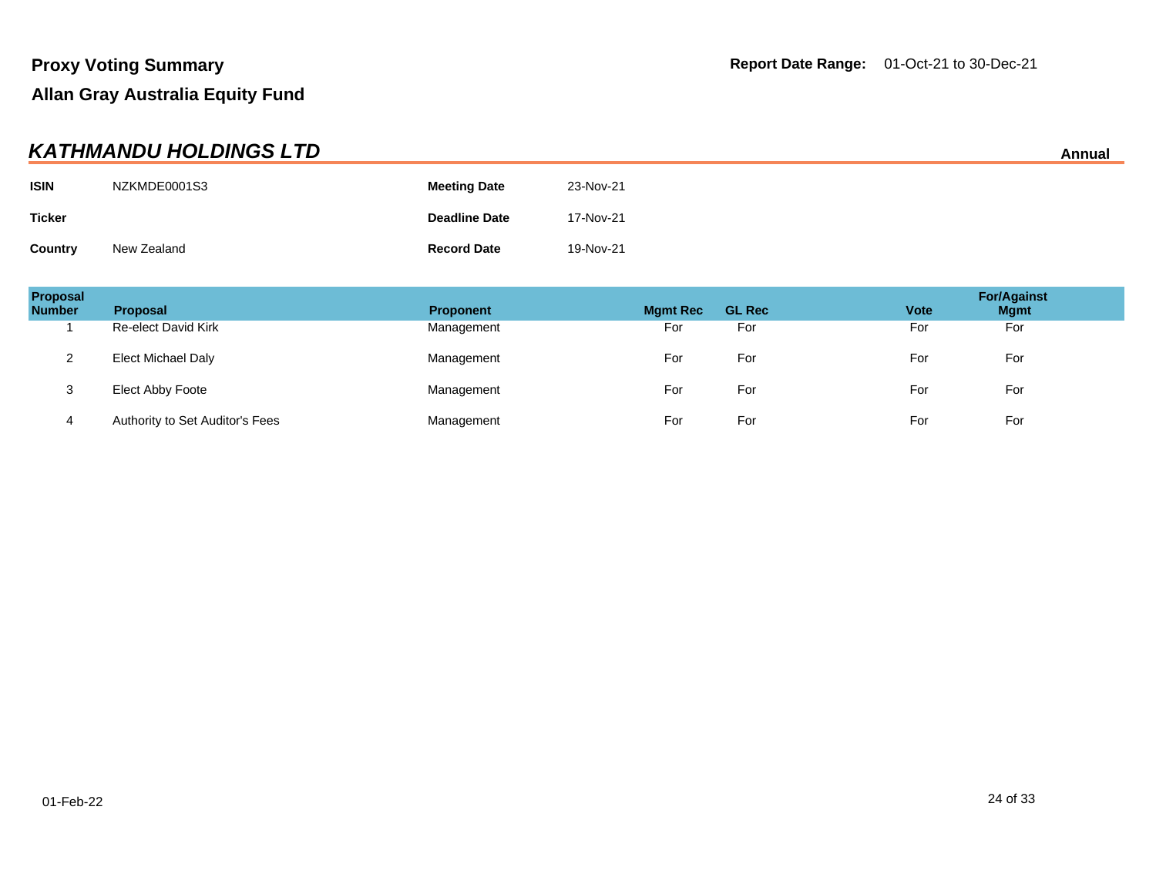| <b>KATHMANDU HOLDINGS LTD</b><br>Annual |              |                      |           |  |
|-----------------------------------------|--------------|----------------------|-----------|--|
| <b>ISIN</b>                             | NZKMDE0001S3 | <b>Meeting Date</b>  | 23-Nov-21 |  |
| <b>Ticker</b>                           |              | <b>Deadline Date</b> | 17-Nov-21 |  |
| Country                                 | New Zealand  | <b>Record Date</b>   | 19-Nov-21 |  |

| Proposal<br><b>Number</b> | <b>Proposal</b>                 | <b>Proponent</b> | <b>Mgmt Rec</b> | <b>GL Rec</b> | <b>Vote</b> | <b>For/Against</b><br><b>Mgmt</b> |
|---------------------------|---------------------------------|------------------|-----------------|---------------|-------------|-----------------------------------|
|                           | <b>Re-elect David Kirk</b>      | Management       | For             | For           | For         | For                               |
| ົ<br>∼                    | Elect Michael Daly              | Management       | For             | For           | For         | For                               |
| 3                         | Elect Abby Foote                | Management       | For             | For           | For         | For                               |
| 4                         | Authority to Set Auditor's Fees | Management       | For             | For           | For         | For                               |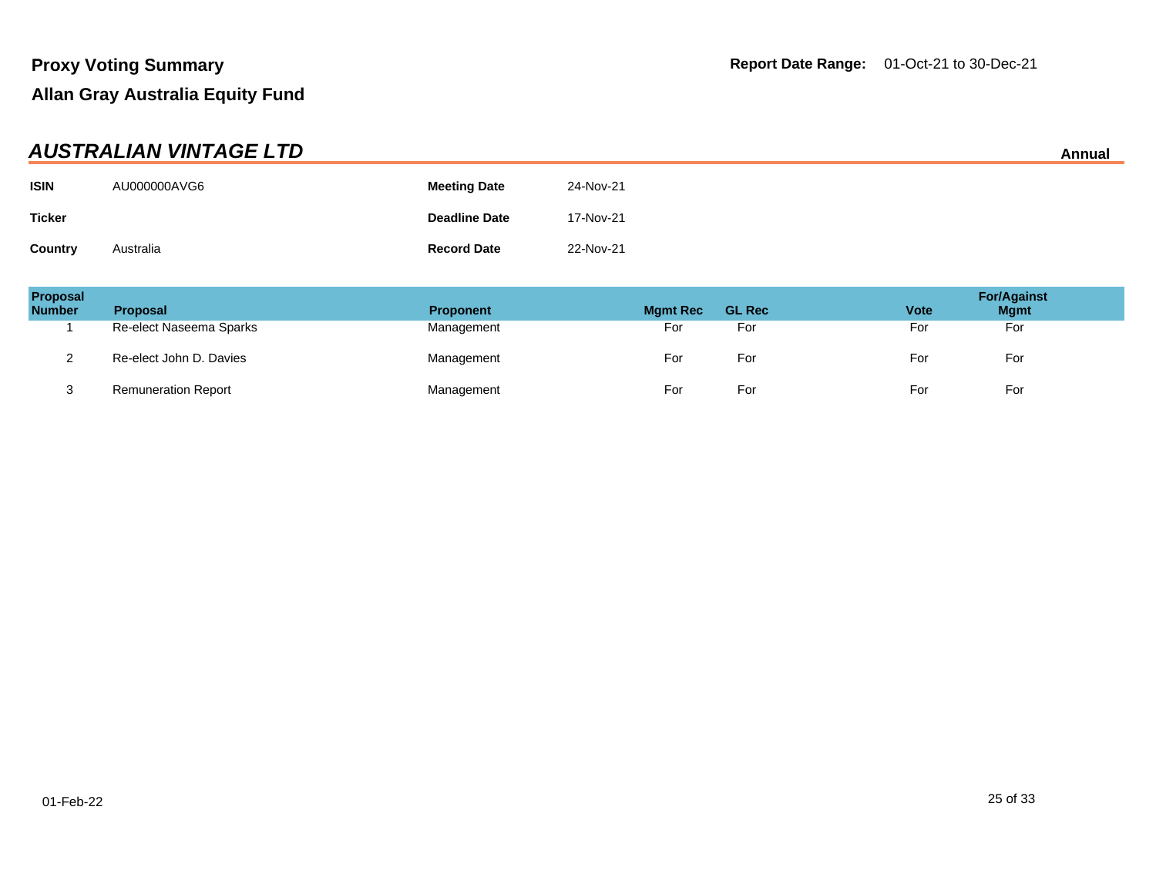| AUSTRALIAN VINTAGE LTD<br>Annual |              |                      |           |  |
|----------------------------------|--------------|----------------------|-----------|--|
| <b>ISIN</b>                      | AU000000AVG6 | <b>Meeting Date</b>  | 24-Nov-21 |  |
| <b>Ticker</b>                    |              | <b>Deadline Date</b> | 17-Nov-21 |  |
| Country                          | Australia    | <b>Record Date</b>   | 22-Nov-21 |  |

| Proposal<br><b>Number</b> | <b>Proposal</b>            | <b>Proponent</b> | <b>Mgmt Rec</b> | <b>GL Rec</b> | <b>Vote</b> | <b>For/Against</b><br><b>Mgmt</b> |
|---------------------------|----------------------------|------------------|-----------------|---------------|-------------|-----------------------------------|
|                           | Re-elect Naseema Sparks    | Management       | For             | For           | For         | For                               |
|                           | Re-elect John D. Davies    | Management       | For             | For           | For         | For                               |
| ູບ                        | <b>Remuneration Report</b> | Management       | For             | For           | For         | For                               |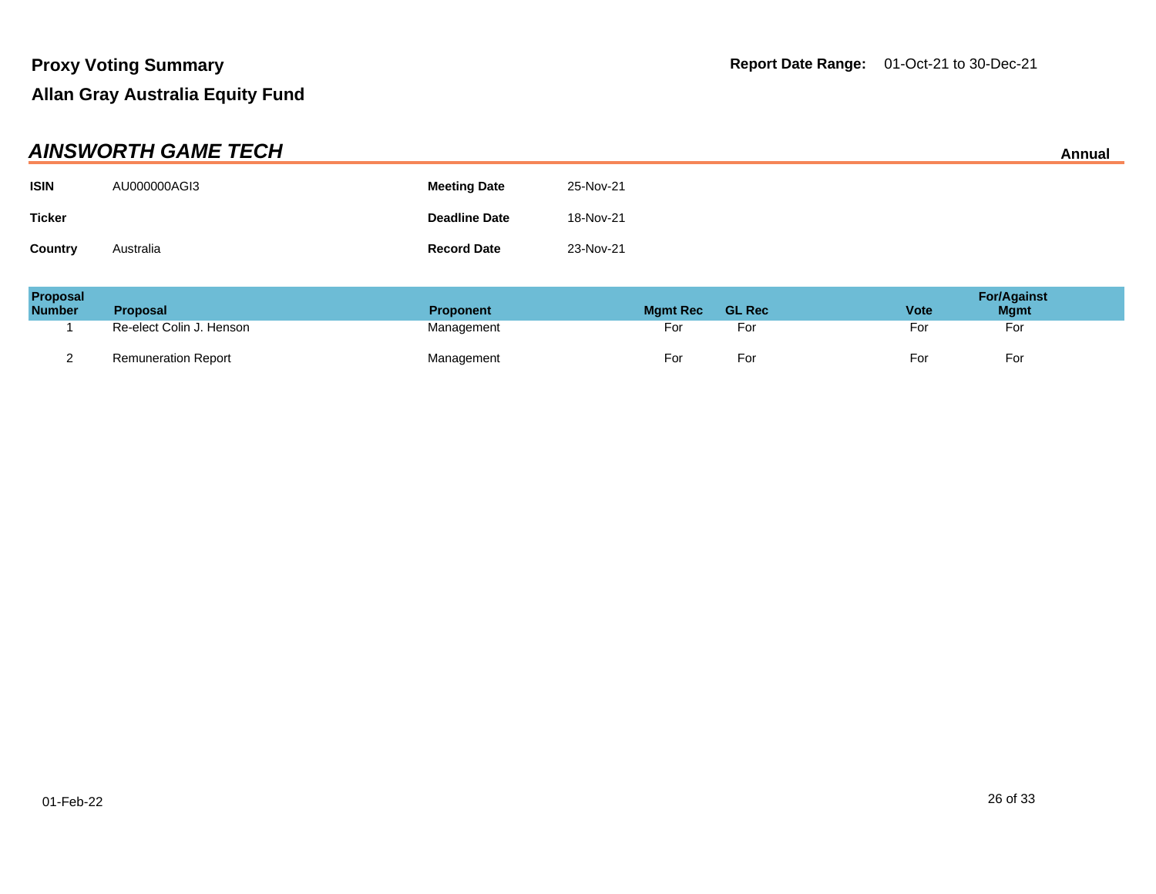| <b>AINSWORTH GAME TECH</b><br>Annual |              |                      |           |  |  |
|--------------------------------------|--------------|----------------------|-----------|--|--|
| <b>ISIN</b>                          | AU000000AGI3 | <b>Meeting Date</b>  | 25-Nov-21 |  |  |
| <b>Ticker</b>                        |              | <b>Deadline Date</b> | 18-Nov-21 |  |  |
| <b>Country</b>                       | Australia    | <b>Record Date</b>   | 23-Nov-21 |  |  |

| <b>Proposal</b><br><b>Number</b> | <b>Proposal</b>            | <b>Proponent</b> | <b>Mamt Rec</b> | <b>GL Rec</b> | <b>Vote</b> | <b>For/Against</b><br><b>Mgmt</b> |
|----------------------------------|----------------------------|------------------|-----------------|---------------|-------------|-----------------------------------|
|                                  | Re-elect Colin J. Henson   | Management       | ⊦or             | ⊦or           | For         | For                               |
|                                  | <b>Remuneration Report</b> | Management       | -or             | -or           | For         | For                               |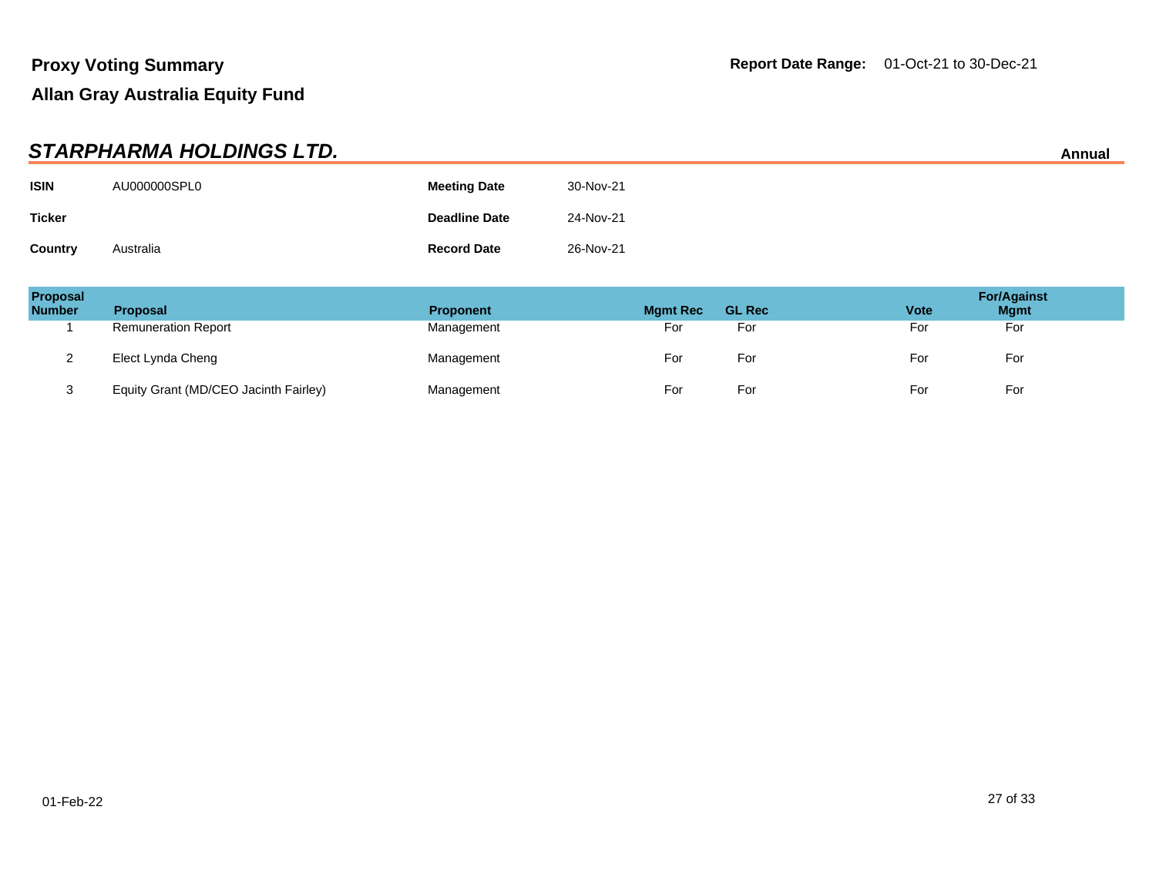|               | STARPHARMA HOLDINGS LTD. |                      |           | Annual |
|---------------|--------------------------|----------------------|-----------|--------|
| <b>ISIN</b>   | AU000000SPL0             | <b>Meeting Date</b>  | 30-Nov-21 |        |
| <b>Ticker</b> |                          | <b>Deadline Date</b> | 24-Nov-21 |        |
| Country       | Australia                | <b>Record Date</b>   | 26-Nov-21 |        |

| Proposal<br><b>Number</b> | <b>Proposal</b>                       | <b>Proponent</b> | <b>Mgmt Rec</b> | <b>GL Rec</b> | <b>Vote</b> | <b>For/Against</b><br><b>Mgmt</b> |
|---------------------------|---------------------------------------|------------------|-----------------|---------------|-------------|-----------------------------------|
|                           | <b>Remuneration Report</b>            | Management       | For             | For           | For         | For                               |
| ∼                         | Elect Lynda Cheng                     | Management       | For             | For           | For         | For                               |
| ు                         | Equity Grant (MD/CEO Jacinth Fairley) | Management       | For             | For           | For         | For                               |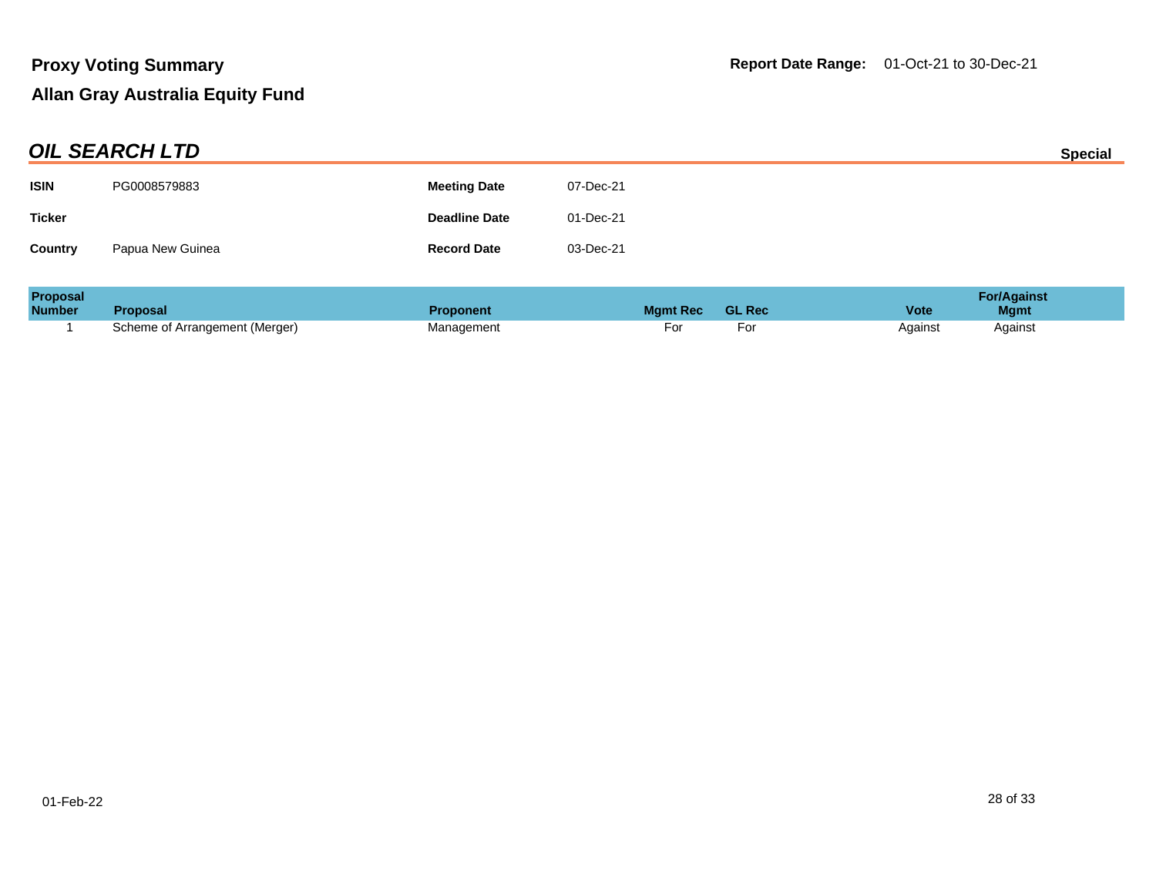| <b>OIL SEARCH LTD</b> |                  |                      |           | <b>Special</b> |
|-----------------------|------------------|----------------------|-----------|----------------|
| <b>ISIN</b>           | PG0008579883     | <b>Meeting Date</b>  | 07-Dec-21 |                |
| <b>Ticker</b>         |                  | <b>Deadline Date</b> | 01-Dec-21 |                |
| <b>Country</b>        | Papua New Guinea | <b>Record Date</b>   | 03-Dec-21 |                |

| <b>Proposal</b> |                                |                  |                 |               | <b>For/Against</b>         |
|-----------------|--------------------------------|------------------|-----------------|---------------|----------------------------|
| <b>Number</b>   | <b>Proposal</b>                | <b>Proponent</b> | <b>Mamt Rec</b> | <b>GL Rec</b> | <b>Vote</b><br><b>Mgmt</b> |
|                 | Scheme of Arrangement (Merger) | Management       | וש              |               | Against<br>Against         |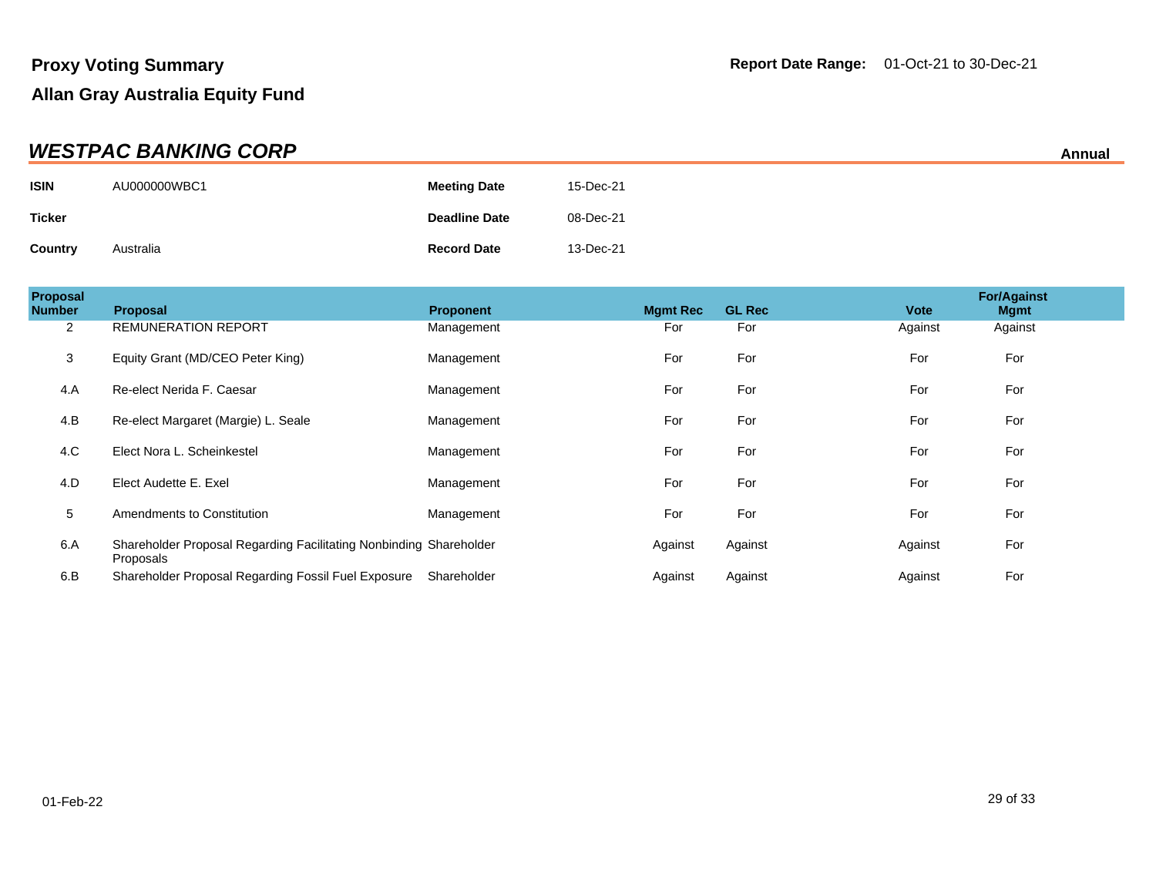| <b>WESTPAC BANKING CORP</b><br>Annual |              |                      |           |  |
|---------------------------------------|--------------|----------------------|-----------|--|
| <b>ISIN</b>                           | AU000000WBC1 | <b>Meeting Date</b>  | 15-Dec-21 |  |
| <b>Ticker</b>                         |              | <b>Deadline Date</b> | 08-Dec-21 |  |
| Country                               | Australia    | <b>Record Date</b>   | 13-Dec-21 |  |

| Proposal<br><b>Number</b> | <b>Proposal</b>                                                                 | <b>Proponent</b> | <b>Mamt Rec</b> | <b>GL Rec</b> | <b>Vote</b> | <b>For/Against</b><br><b>Mgmt</b> |  |
|---------------------------|---------------------------------------------------------------------------------|------------------|-----------------|---------------|-------------|-----------------------------------|--|
| 2                         | <b>REMUNERATION REPORT</b>                                                      | Management       | For             | For           | Against     | Against                           |  |
| 3                         | Equity Grant (MD/CEO Peter King)                                                | Management       | For             | For           | For         | For                               |  |
| 4.A                       | Re-elect Nerida F. Caesar                                                       | Management       | For             | For           | For         | For                               |  |
| 4.B                       | Re-elect Margaret (Margie) L. Seale                                             | Management       | For             | For           | For         | For                               |  |
| 4.C                       | Elect Nora L. Scheinkestel                                                      | Management       | For             | For           | For         | For                               |  |
| 4.D                       | Elect Audette E. Exel                                                           | Management       | For             | For           | For         | For                               |  |
| 5                         | Amendments to Constitution                                                      | Management       | For             | For           | For         | For                               |  |
| 6.A                       | Shareholder Proposal Regarding Facilitating Nonbinding Shareholder<br>Proposals |                  | Against         | Against       | Against     | For                               |  |
| 6.B                       | Shareholder Proposal Regarding Fossil Fuel Exposure                             | Shareholder      | Against         | Against       | Against     | For                               |  |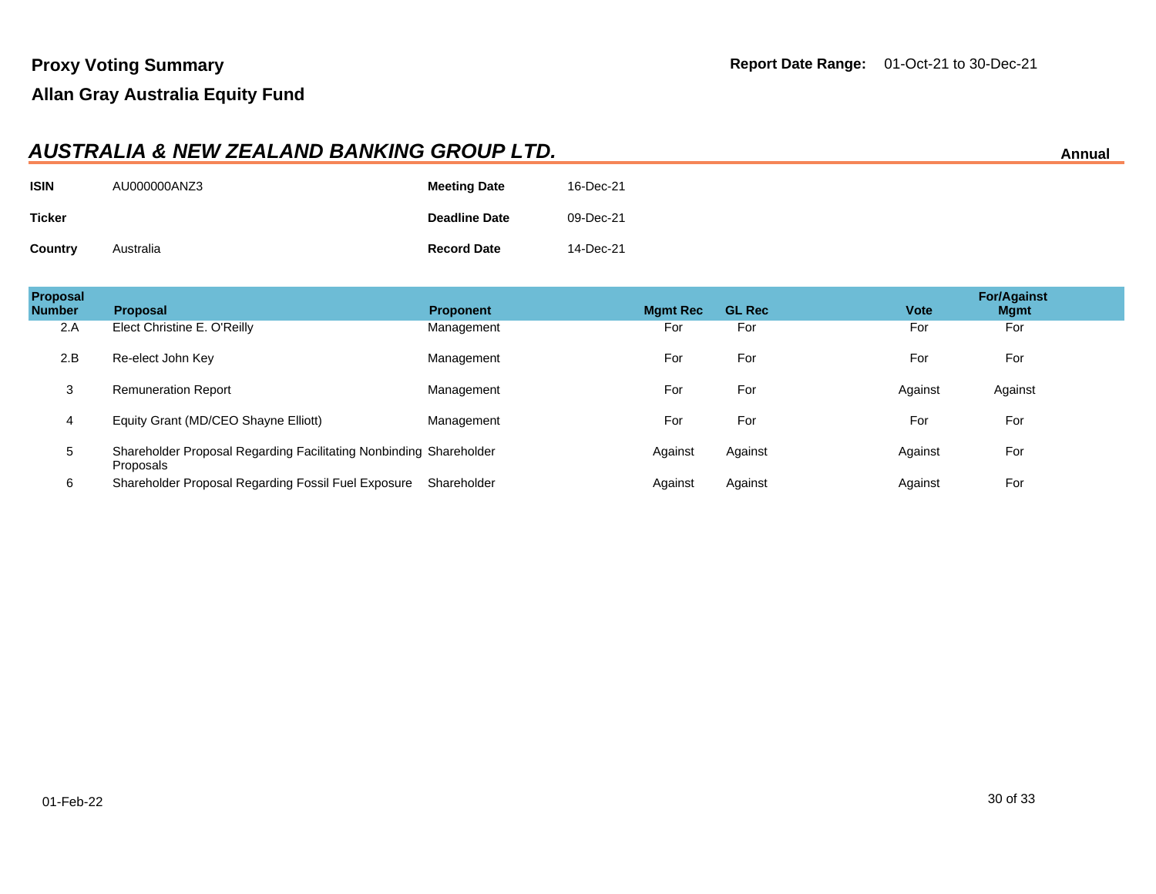#### **AUSTRALIA & NEW ZEALAND BANKING GROUP LTD. Annual**

| <b>ISIN</b>   | AU000000ANZ3 | <b>Meeting Date</b>  | 16-Dec-21 |
|---------------|--------------|----------------------|-----------|
| <b>Ticker</b> |              | <b>Deadline Date</b> | 09-Dec-21 |
| Country       | Australia    | <b>Record Date</b>   | 14-Dec-21 |

| Proposal<br><b>Number</b> | <b>Proposal</b>                                                                 | <b>Proponent</b> | <b>Mgmt Rec</b> | <b>GL Rec</b> | <b>Vote</b> | <b>For/Against</b><br><b>Mgmt</b> |  |
|---------------------------|---------------------------------------------------------------------------------|------------------|-----------------|---------------|-------------|-----------------------------------|--|
| 2.A                       | Elect Christine E. O'Reilly                                                     | Management       | For             | For           | For         | For                               |  |
| 2.B                       | Re-elect John Key                                                               | Management       | For             | For           | For         | For                               |  |
| 3                         | <b>Remuneration Report</b>                                                      | Management       | For             | For           | Against     | Against                           |  |
| 4                         | Equity Grant (MD/CEO Shayne Elliott)                                            | Management       | For             | For           | For         | For                               |  |
| 5                         | Shareholder Proposal Regarding Facilitating Nonbinding Shareholder<br>Proposals |                  | Against         | Against       | Against     | For                               |  |
| 6                         | Shareholder Proposal Regarding Fossil Fuel Exposure                             | Shareholder      | Against         | Against       | Against     | For                               |  |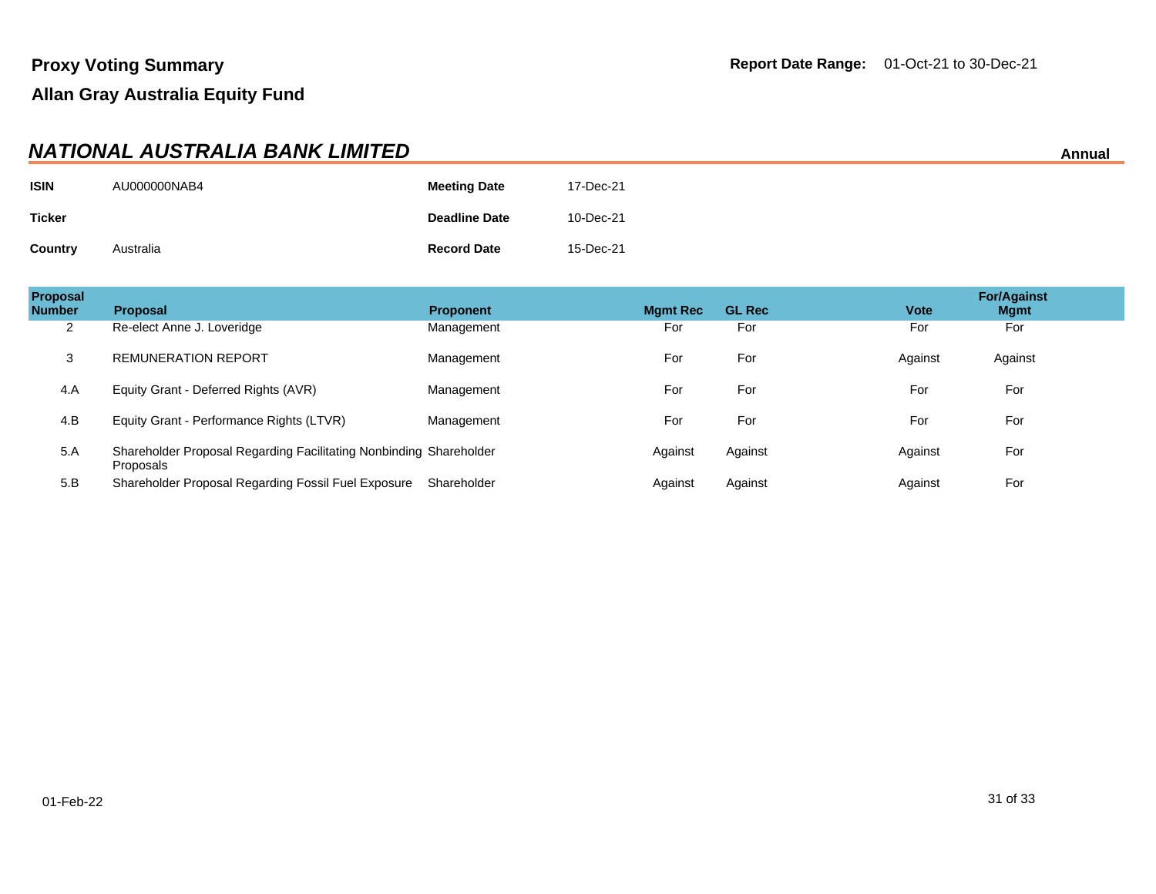|                | NATIONAL AUSTRALIA BANK LIMITED |                      |           | Annual |
|----------------|---------------------------------|----------------------|-----------|--------|
| <b>ISIN</b>    | AU000000NAB4                    | <b>Meeting Date</b>  | 17-Dec-21 |        |
| <b>Ticker</b>  |                                 | <b>Deadline Date</b> | 10-Dec-21 |        |
| <b>Country</b> | Australia                       | <b>Record Date</b>   | 15-Dec-21 |        |

| <b>Proposal</b><br><b>Number</b> | <b>Proposal</b>                                                                 | <b>Proponent</b> | <b>Mgmt Rec</b> | <b>GL Rec</b> | <b>Vote</b> | <b>For/Against</b><br><b>Mgmt</b> |
|----------------------------------|---------------------------------------------------------------------------------|------------------|-----------------|---------------|-------------|-----------------------------------|
| 2                                | Re-elect Anne J. Loveridge                                                      | Management       | For             | For           | For         | For                               |
| 3                                | <b>REMUNERATION REPORT</b>                                                      | Management       | For             | For           | Against     | Against                           |
| 4.A                              | Equity Grant - Deferred Rights (AVR)                                            | Management       | For             | For           | For         | For                               |
| 4.B                              | Equity Grant - Performance Rights (LTVR)                                        | Management       | For             | For           | For         | For                               |
| 5.A                              | Shareholder Proposal Regarding Facilitating Nonbinding Shareholder<br>Proposals |                  | Against         | Against       | Against     | For                               |
| 5.B                              | Shareholder Proposal Regarding Fossil Fuel Exposure                             | Shareholder      | Against         | Against       | Against     | For                               |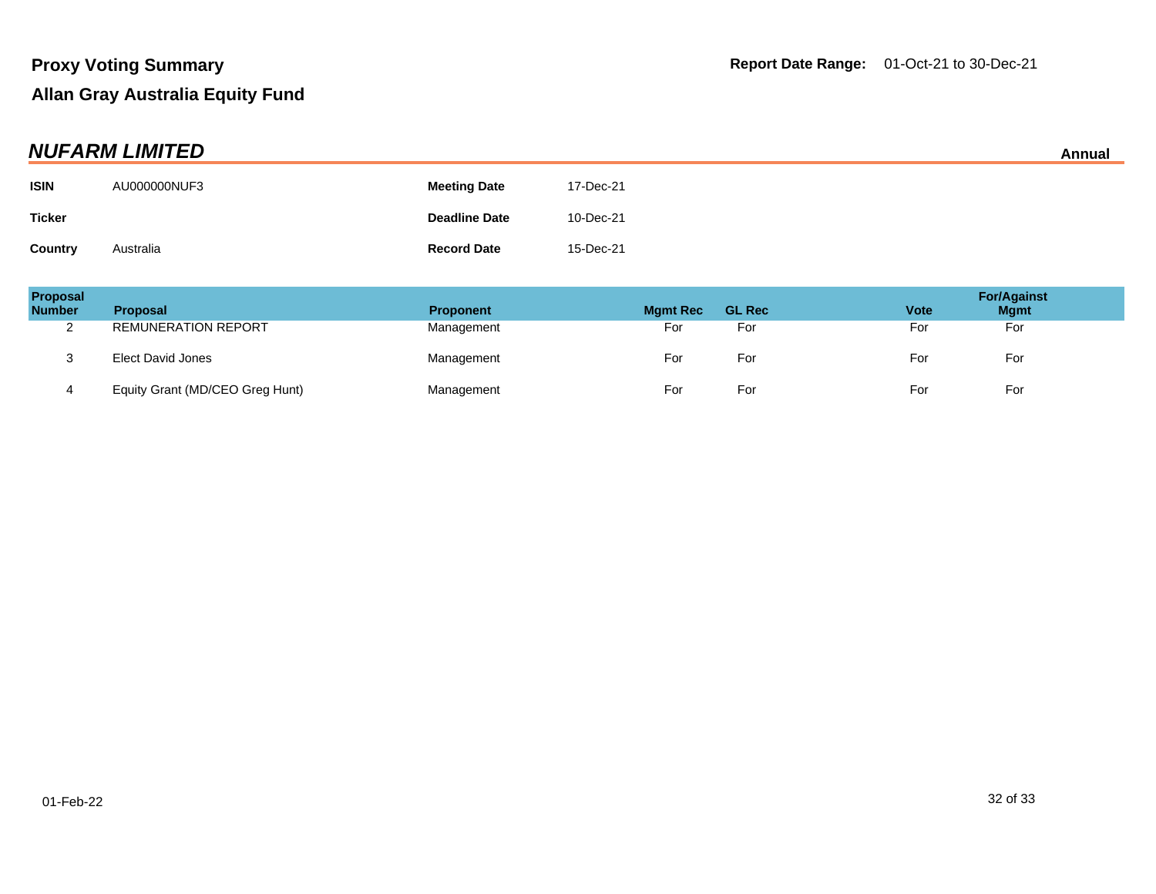| <b>NUFARM LIMITED</b> |              |                      |           |  |
|-----------------------|--------------|----------------------|-----------|--|
| <b>ISIN</b>           | AU000000NUF3 | <b>Meeting Date</b>  | 17-Dec-21 |  |
| <b>Ticker</b>         |              | <b>Deadline Date</b> | 10-Dec-21 |  |
| Country               | Australia    | <b>Record Date</b>   | 15-Dec-21 |  |

| Proposal<br><b>Number</b> | Proposal                        | <b>Proponent</b> | <b>Mgmt Rec</b> | <b>GL Rec</b> | <b>Vote</b> | <b>For/Against</b><br><b>Mgmt</b> |
|---------------------------|---------------------------------|------------------|-----------------|---------------|-------------|-----------------------------------|
| ◠<br><u>_</u>             | <b>REMUNERATION REPORT</b>      | Management       | For             | For           | For         | For                               |
| - 12                      | <b>Elect David Jones</b>        | Management       | For             | For           | For         | For                               |
| 4                         | Equity Grant (MD/CEO Greg Hunt) | Management       | For             | For           | For         | For                               |